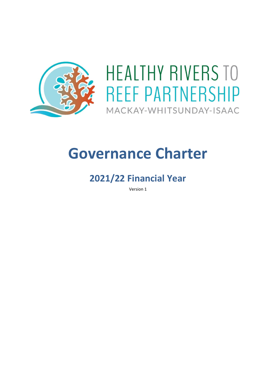

# **HEALTHY RIVERS TO REEF PARTNERSHIP** MACKAY-WHITSUNDAY-ISAAC

# <span id="page-0-1"></span><span id="page-0-0"></span>**Governance Charter**

# **2021/22 Financial Year**

Version 1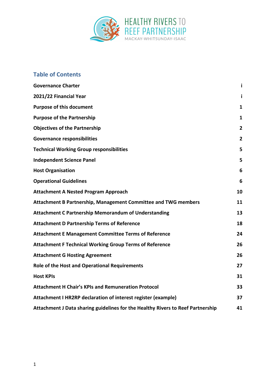

# **Table of Contents**

| <b>Governance Charter</b>                                                       | j.             |
|---------------------------------------------------------------------------------|----------------|
| 2021/22 Financial Year                                                          | i              |
| <b>Purpose of this document</b>                                                 | $\mathbf{1}$   |
| <b>Purpose of the Partnership</b>                                               | $\mathbf{1}$   |
| <b>Objectives of the Partnership</b>                                            | $\mathbf{2}$   |
| <b>Governance responsibilities</b>                                              | $\overline{2}$ |
| <b>Technical Working Group responsibilities</b>                                 | 5              |
| <b>Independent Science Panel</b>                                                | 5              |
| <b>Host Organisation</b>                                                        | 6              |
| <b>Operational Guidelines</b>                                                   | 6              |
| <b>Attachment A Nested Program Approach</b>                                     | 10             |
| Attachment B Partnership, Management Committee and TWG members                  | 11             |
| <b>Attachment C Partnership Memorandum of Understanding</b>                     | 13             |
| <b>Attachment D Partnership Terms of Reference</b>                              | 18             |
| <b>Attachment E Management Committee Terms of Reference</b>                     | 24             |
| <b>Attachment F Technical Working Group Terms of Reference</b>                  | 26             |
| <b>Attachment G Hosting Agreement</b>                                           | 26             |
| Role of the Host and Operational Requirements                                   | 27             |
| <b>Host KPIs</b>                                                                | 31             |
| <b>Attachment H Chair's KPIs and Remuneration Protocol</b>                      | 33             |
| Attachment I HR2RP declaration of interest register (example)                   | 37             |
| Attachment J Data sharing guidelines for the Healthy Rivers to Reef Partnership | 41             |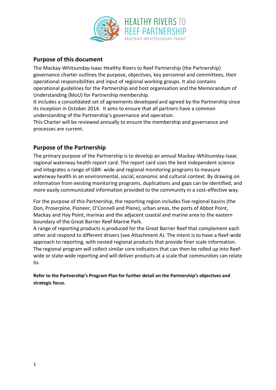

# <span id="page-2-0"></span>**Purpose of this document**

The Mackay-Whitsunday-Isaac Healthy Rivers to Reef Partnership (the Partnership) governance charter outlines the purpose, objectives, key personnel and committees, their operational responsibilities and input of regional working groups. It also contains operational guidelines for the Partnership and host organisation and the Memorandum of Understanding (MoU) for Partnership membership.

It includes a consolidated set of agreements developed and agreed by the Partnership since its inception in October 2014. It aims to ensure that all partners have a common understanding of the Partnership's governance and operation.

This Charter will be reviewed annually to ensure the membership and governance and processes are current.

# <span id="page-2-1"></span>**Purpose of the Partnership**

The primary purpose of the Partnership is to develop an annual Mackay-Whitsunday-Isaac regional waterway health report card. The report card uses the best independent science and integrates a range of GBR- wide and regional monitoring programs to measure waterway health in an environmental, social, economic and cultural context. By drawing on information from existing monitoring programs, duplications and gaps can be identified, and more easily communicated information provided to the community in a cost-effective way.

For the purpose of this Partnership, the reporting region includes five regional basins (the Don, Proserpine, Pioneer, O'Connell and Plane), urban areas, the ports of Abbot Point, Mackay and Hay Point, marinas and the adjacent coastal and marine area to the eastern boundary of the Great Barrier Reef Marine Park.

A range of reporting products is produced for the Great Barrier Reef that complement each other and respond to different drivers (see Attachment A). The intent is to have a Reef-wide approach to reporting, with nested regional products that provide finer scale information. The regional program will collect similar core indicators that can then be rolled up into Reefwide or state-wide reporting and will deliver products at a scale that communities can relate to.

**Refer to the Partnership's Program Plan for further detail on the Partnership's objectives and strategic focus.**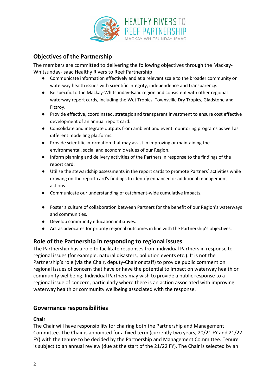

# <span id="page-3-0"></span>**Objectives of the Partnership**

The members are committed to delivering the following objectives through the Mackay-Whitsunday-Isaac Healthy Rivers to Reef Partnership:

- Communicate information effectively and at a relevant scale to the broader community on waterway health issues with scientific integrity, independence and transparency.
- Be specific to the Mackay-Whitsunday-Isaac region and consistent with other regional waterway report cards, including the Wet Tropics, Townsville Dry Tropics, Gladstone and Fitzroy.
- Provide effective, coordinated, strategic and transparent investment to ensure cost effective development of an annual report card.
- Consolidate and integrate outputs from ambient and event monitoring programs as well as different modelling platforms.
- Provide scientific information that may assist in improving or maintaining the environmental, social and economic values of our Region.
- Inform planning and delivery activities of the Partners in response to the findings of the report card.
- Utilise the stewardship assessments in the report cards to promote Partners' activities while drawing on the report card's findings to identify enhanced or additional management actions.
- Communicate our understanding of catchment-wide cumulative impacts.
- Foster a culture of collaboration between Partners for the benefit of our Region's waterways and communities.
- Develop community education initiatives.
- Act as advocates for priority regional outcomes in line with the Partnership's objectives.

## **Role of the Partnership in responding to regional issues**

The Partnership has a role to facilitate responses from individual Partners in response to regional issues (for example, natural disasters, pollution events etc.). It is not the Partnership's role (via the Chair, deputy-Chair or staff) to provide public comment on regional issues of concern that have or have the potential to impact on waterway health or community wellbeing. Individual Partners may wish to provide a public response to a regional issue of concern, particularly where there is an action associated with improving waterway health or community wellbeing associated with the response.

## <span id="page-3-1"></span>**Governance responsibilities**

#### **Chair**

The Chair will have responsibility for chairing both the Partnership and Management Committee. The Chair is appointed for a fixed term (currently two years, 20/21 FY and 21/22 FY) with the tenure to be decided by the Partnership and Management Committee. Tenure is subject to an annual review (due at the start of the 21/22 FY). The Chair is selected by an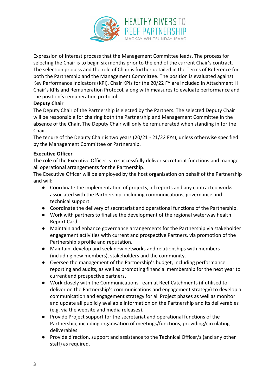

Expression of Interest process that the Management Committee leads. The process for selecting the Chair is to begin six months prior to the end of the current Chair's contract. The selection process and the role of Chair is further detailed in the Terms of Reference for both the Partnership and the Management Committee. The position is evaluated against Key Performance Indicators (KPI). Chair KPIs for the 20/22 FY are included in Attachment H Chair's KPIs and Remuneration Protocol, along with measures to evaluate performance and the position's remuneration protocol.

#### **Deputy Chair**

The Deputy Chair of the Partnership is elected by the Partners. The selected Deputy Chair will be responsible for chairing both the Partnership and Management Committee in the absence of the Chair. The Deputy Chair will only be remunerated when standing in for the Chair.

The tenure of the Deputy Chair is two years (20/21 - 21/22 FYs), unless otherwise specified by the Management Committee or Partnership.

#### **Executive Officer**

The role of the Executive Officer is to successfully deliver secretariat functions and manage all operational arrangements for the Partnership.

The Executive Officer will be employed by the host organisation on behalf of the Partnership and will:

- Coordinate the implementation of projects, all reports and any contracted works associated with the Partnership, including communications, governance and technical support.
- Coordinate the delivery of secretariat and operational functions of the Partnership.
- Work with partners to finalise the development of the regional waterway health Report Card.
- Maintain and enhance governance arrangements for the Partnership via stakeholder engagement activities with current and prospective Partners, via promotion of the Partnership's profile and reputation.
- Maintain, develop and seek new networks and relationships with members (including new members), stakeholders and the community.
- Oversee the management of the Partnership's budget, including performance reporting and audits, as well as promoting financial membership for the next year to current and prospective partners.
- Work closely with the Communications Team at Reef Catchments (if utilised to deliver on the Partnership's communications and engagement strategy) to develop a communication and engagement strategy for all Project phases as well as monitor and update all publicly available information on the Partnership and its deliverables (e.g. via the website and media releases).
- Provide Project support for the secretariat and operational functions of the Partnership, including organisation of meetings/functions, providing/circulating deliverables.
- Provide direction, support and assistance to the Technical Officer/s (and any other staff) as required.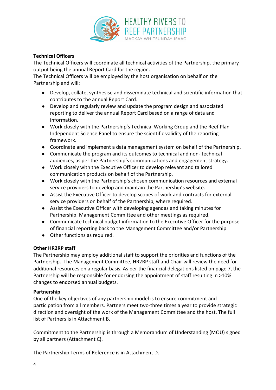

#### **Technical Officers**

The Technical Officers will coordinate all technical activities of the Partnership, the primary output being the annual Report Card for the region.

The Technical Officers will be employed by the host organisation on behalf on the Partnership and will:

- Develop, collate, synthesise and disseminate technical and scientific information that contributes to the annual Report Card.
- Develop and regularly review and update the program design and associated reporting to deliver the annual Report Card based on a range of data and information.
- Work closely with the Partnership's Technical Working Group and the Reef Plan Independent Science Panel to ensure the scientific validity of the reporting framework.
- Coordinate and implement a data management system on behalf of the Partnership.
- Communicate the program and its outcomes to technical and non- technical audiences, as per the Partnership's communications and engagement strategy.
- Work closely with the Executive Officer to develop relevant and tailored communication products on behalf of the Partnership.
- Work closely with the Partnership's chosen communication resources and external service providers to develop and maintain the Partnership's website.
- Assist the Executive Officer to develop scopes of work and contracts for external service providers on behalf of the Partnership, where required.
- Assist the Executive Officer with developing agendas and taking minutes for Partnership, Management Committee and other meetings as required.
- Communicate technical budget information to the Executive Officer for the purpose of financial reporting back to the Management Committee and/or Partnership.
- Other functions as required.

#### **Other HR2RP staff**

The Partnership may employ additional staff to support the priorities and functions of the Partnership. The Management Committee, HR2RP staff and Chair will review the need for additional resources on a regular basis. As per the financial delegations listed on page 7, the Partnership will be responsible for endorsing the appointment of staff resulting in >10% changes to endorsed annual budgets.

#### **Partnership**

One of the key objectives of any partnership model is to ensure commitment and participation from all members. Partners meet two-three times a year to provide strategic direction and oversight of the work of the Management Committee and the host. The full list of Partners is in Attachment B.

Commitment to the Partnership is through a Memorandum of Understanding (MOU) signed by all partners (Attachment C).

The Partnership Terms of Reference is in Attachment D.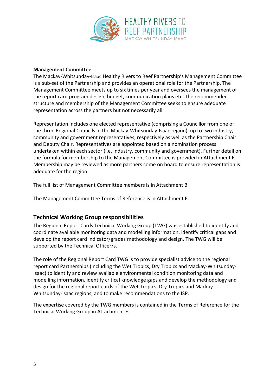

#### **Management Committee**

The Mackay-Whitsunday-Isaac Healthy Rivers to Reef Partnership's Management Committee is a sub-set of the Partnership and provides an operational role for the Partnership. The Management Committee meets up to six times per year and oversees the management of the report card program design, budget, communication plans etc. The recommended structure and membership of the Management Committee seeks to ensure adequate representation across the partners but not necessarily all.

Representation includes one elected representative (comprising a Councillor from one of the three Regional Councils in the Mackay-Whitsunday-Isaac region), up to two industry, community and government representatives, respectively as well as the Partnership Chair and Deputy Chair. Representatives are appointed based on a nomination process undertaken within each sector (i.e. industry, community and government). Further detail on the formula for membership to the Management Committee is provided in Attachment E. Membership may be reviewed as more partners come on board to ensure representation is adequate for the region.

The full list of Management Committee members is in Attachment B.

<span id="page-6-0"></span>The Management Committee Terms of Reference is in Attachment E.

## **Technical Working Group responsibilities**

The Regional Report Cards Technical Working Group (TWG) was established to identify and coordinate available monitoring data and modelling information, identify critical gaps and develop the report card indicator/grades methodology and design. The TWG will be supported by the Technical Officer/s.

The role of the Regional Report Card TWG is to provide specialist advice to the regional report card Partnerships (including the Wet Tropics, Dry Tropics and Mackay-Whitsunday-Isaac) to identify and review available environmental condition monitoring data and modelling information, identify critical knowledge gaps and develop the methodology and design for the regional report cards of the Wet Tropics, Dry Tropics and Mackay-Whitsunday-Isaac regions, and to make recommendations to the ISP.

The expertise covered by the TWG members is contained in the Terms of Reference for the Technical Working Group in Attachment F.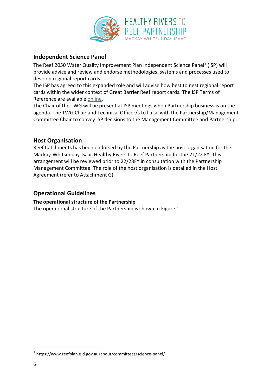

# <span id="page-7-0"></span>**Independent Science Panel**

The Reef 2050 Water Quality Improvement Plan Independent Science Panel<sup>1</sup> (ISP) will provide advice and review and endorse methodologies, systems and processes used to develop regional report cards.

The ISP has agreed to this expanded role and will advise how best to nest regional report cards within the wider context of Great Barrier Reef report cards. The ISP Terms of Reference are available [online.](https://www.environment.gov.au/system/files/pages/abff0d5e-b94d-4495-b79b-90dc52274f69/files/independent-expert-panel-tor.pdf)

The Chair of the TWG will be present at ISP meetings when Partnership business is on the agenda. The TWG Chair and Technical Officer/s to liaise with the Partnership/Management Committee Chair to convey ISP decisions to the Management Committee and Partnership.

## <span id="page-7-1"></span>**Host Organisation**

Reef Catchments has been endorsed by the Partnership as the host organisation for the Mackay-Whitsunday-Isaac Healthy Rivers to Reef Partnership for the 21/22 FY. This arrangement will be reviewed prior to 22/23FY in consultation with the Partnership Management Committee. The role of the host organisation is detailed in the Host Agreement (refer to Attachment G).

#### <span id="page-7-2"></span>**Operational Guidelines**

#### **The operational structure of the Partnership**

The operational structure of the Partnership is shown in Figure 1.

<sup>1</sup> https://www.reefplan.qld.gov.au/about/committees/science-panel/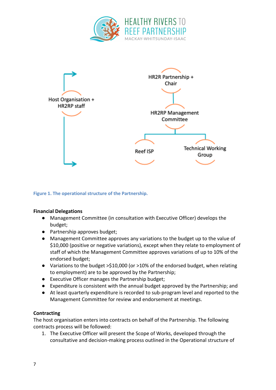



**Figure 1. The operational structure of the Partnership.**

#### **Financial Delegations**

- Management Committee (in consultation with Executive Officer) develops the budget;
- Partnership approves budget;
- Management Committee approves any variations to the budget up to the value of \$10,000 (positive or negative variations), except when they relate to employment of staff of which the Management Committee approves variations of up to 10% of the endorsed budget;
- Variations to the budget >\$10,000 (or >10% of the endorsed budget, when relating to employment) are to be approved by the Partnership;
- Executive Officer manages the Partnership budget;
- Expenditure is consistent with the annual budget approved by the Partnership; and
- At least quarterly expenditure is recorded to sub-program level and reported to the Management Committee for review and endorsement at meetings.

#### **Contracting**

The host organisation enters into contracts on behalf of the Partnership. The following contracts process will be followed:

1. The Executive Officer will present the Scope of Works, developed through the consultative and decision-making process outlined in the Operational structure of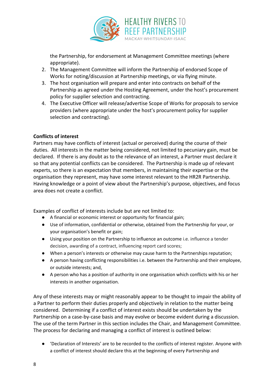

the Partnership, for endorsement at Management Committee meetings (where appropriate).

- 2. The Management Committee will inform the Partnership of endorsed Scope of Works for noting/discussion at Partnership meetings, or via flying minute.
- 3. The host organisation will prepare and enter into contracts on behalf of the Partnership as agreed under the Hosting Agreement, under the host's procurement policy for supplier selection and contracting.
- 4. The Executive Officer will release/advertise Scope of Works for proposals to service providers (where appropriate under the host's procurement policy for supplier selection and contracting).

#### **Conflicts of interest**

Partners may have conflicts of interest (actual or perceived) during the course of their duties. All interests in the matter being considered, not limited to pecuniary gain, must be declared. If there is any doubt as to the relevance of an interest, a Partner must declare it so that any potential conflicts can be considered. The Partnership is made up of relevant experts, so there is an expectation that members, in maintaining their expertise or the organisation they represent, may have some interest relevant to the HR2R Partnership. Having knowledge or a point of view about the Partnership's purpose, objectives, and focus area does not create a conflict.

Examples of conflict of interests include but are not limited to:

- A financial or economic interest or opportunity for financial gain;
- Use of information, confidential or otherwise, obtained from the Partnership for your, or your organisation's benefit or gain;
- Using your position on the Partnership to influence an outcome i.e. influence a tender decision, awarding of a contract, influencing report card scores;
- When a person's interests or otherwise may cause harm to the Partnerships reputation;
- A person having conflicting responsibilities i.e. between the Partnership and their employee, or outside interests; and,
- A person who has a position of authority in one organisation which conflicts with his or her interests in another organisation.

Any of these interests may or might reasonably appear to be thought to impair the ability of a Partner to perform their duties properly and objectively in relation to the matter being considered. Determining if a conflict of interest exists should be undertaken by the Partnership on a case-by-case basis and may evolve or become evident during a discussion. The use of the term Partner in this section includes the Chair, and Management Committee. The process for declaring and managing a conflict of interest is outlined below:

● Ceclaration of Interests' are to be recorded to the conflicts of interest register. Anyone with a conflict of interest should declare this at the beginning of every Partnership and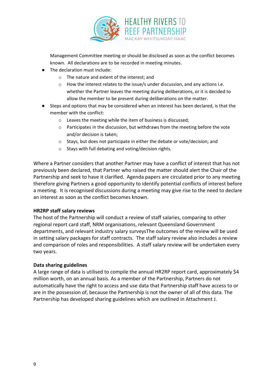

Management Committee meeting or should be disclosed as soon as the conflict becomes known. All declarations are to be recorded in meeting minutes.

- The declaration must include:
	- o The nature and extent of the interest; and
	- $\circ$  How the interest relates to the issue/s under discussion, and any actions i.e. whether the Partner leaves the meeting during deliberations, or it is decided to allow the member to be present during deliberations on the matter.
- Steps and options that may be considered when an interest has been declared, is that the member with the conflict:
	- o Leaves the meeting while the item of business is discussed;
	- o Participates in the discussion, but withdraws from the meeting before the vote and/or decision is taken;
	- o Stays, but does not participate in either the debate or vote/decision; and
	- o Stays with full debating and voting/decision rights.

Where a Partner considers that another Partner may have a conflict of interest that has not previously been declared, that Partner who raised the matter should alert the Chair of the Partnership and seek to have it clarified. Agenda papers are circulated prior to any meeting therefore giving Partners a good opportunity to identify potential conflicts of interest before a meeting. It is recognised discussions during a meeting may give rise to the need to declare an interest as soon as the conflict becomes known.

#### **HR2RP staff salary reviews**

The host of the Partnership will conduct a review of staff salaries, comparing to other regional report card staff, NRM organisations, relevant Queensland Government departments, and relevant industry salary surveysThe outcomes of the review will be used in setting salary packages for staff contracts. The staff salary review also includes a review and comparison of roles and responsibilities. A staff salary review will be undertaken every two years.

#### **Data sharing guidelines**

A large range of data is utilised to compile the annual HR2RP report card, approximately \$4 million worth, on an annual basis. As a member of the Partnership, Partners do not automatically have the right to access and use data that Partnership staff have access to or are in the possession of, because the Partnership is not the owner of all of this data. The Partnership has developed sharing guidelines which are outlined in Attachment J.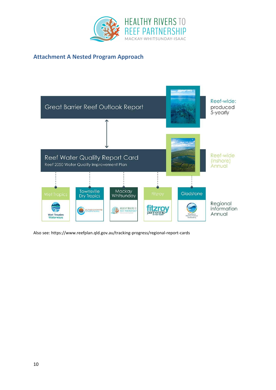

# <span id="page-11-0"></span>**Attachment A Nested Program Approach**



Also see: https://www.reefplan.qld.gov.au/tracking-progress/regional-report-cards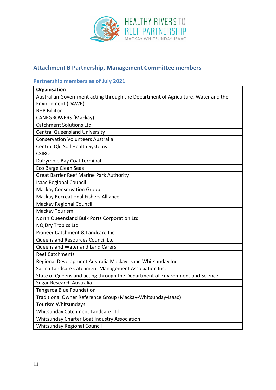

# <span id="page-12-0"></span>**Attachment B Partnership, Management Committee members**

# **Partnership members as of July 2021**

| Organisation                                                                      |
|-----------------------------------------------------------------------------------|
| Australian Government acting through the Department of Agriculture, Water and the |
| <b>Environment (DAWE)</b>                                                         |
| <b>BHP Billiton</b>                                                               |
| <b>CANEGROWERS (Mackay)</b>                                                       |
| <b>Catchment Solutions Ltd</b>                                                    |
| <b>Central Queensland University</b>                                              |
| <b>Conservation Volunteers Australia</b>                                          |
| Central Qld Soil Health Systems                                                   |
| <b>CSIRO</b>                                                                      |
| Dalrymple Bay Coal Terminal                                                       |
| Eco Barge Clean Seas                                                              |
| <b>Great Barrier Reef Marine Park Authority</b>                                   |
| <b>Isaac Regional Council</b>                                                     |
| <b>Mackay Conservation Group</b>                                                  |
| <b>Mackay Recreational Fishers Alliance</b>                                       |
| <b>Mackay Regional Council</b>                                                    |
| Mackay Tourism                                                                    |
| North Queensland Bulk Ports Corporation Ltd                                       |
| <b>NQ Dry Tropics Ltd</b>                                                         |
| Pioneer Catchment & Landcare Inc                                                  |
| Queensland Resources Council Ltd                                                  |
| Queensland Water and Land Carers                                                  |
| <b>Reef Catchments</b>                                                            |
| Regional Development Australia Mackay-Isaac-Whitsunday Inc                        |
| Sarina Landcare Catchment Management Association Inc.                             |
| State of Queensland acting through the Department of Environment and Science      |
| Sugar Research Australia                                                          |
| <b>Tangaroa Blue Foundation</b>                                                   |
| Traditional Owner Reference Group (Mackay-Whitsunday-Isaac)                       |
| Tourism Whitsundays                                                               |
| Whitsunday Catchment Landcare Ltd                                                 |
| Whitsunday Charter Boat Industry Association                                      |
| <b>Whitsunday Regional Council</b>                                                |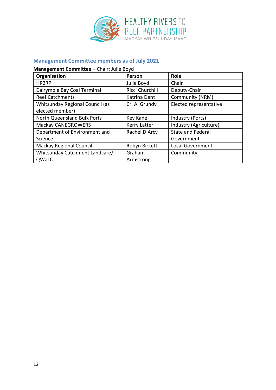

# **Management Committee members as of July 2021**

# **Management Committee –** Chair: Julie Boyd

| Organisation                       | Person          | <b>Role</b>              |  |
|------------------------------------|-----------------|--------------------------|--|
| HR2RP                              | Julie Boyd      | Chair                    |  |
| Dalrymple Bay Coal Terminal        | Ricci Churchill | Deputy-Chair             |  |
| <b>Reef Catchments</b>             | Katrina Dent    | Community (NRM)          |  |
| Whitsunday Regional Council (as    | Cr. Al Grundy   | Elected representative   |  |
| elected member)                    |                 |                          |  |
| <b>North Queensland Bulk Ports</b> | Kev Kane        | Industry (Ports)         |  |
| <b>Mackay CANEGROWERS</b>          | Kerry Latter    | Industry (Agriculture)   |  |
| Department of Environment and      | Rachel D'Arcy   | <b>State and Federal</b> |  |
| Science                            |                 | Government               |  |
| Mackay Regional Council            | Robyn Birkett   | <b>Local Government</b>  |  |
| Whitsunday Catchment Landcare/     | Graham          | Community                |  |
| QWaLC                              | Armstrong       |                          |  |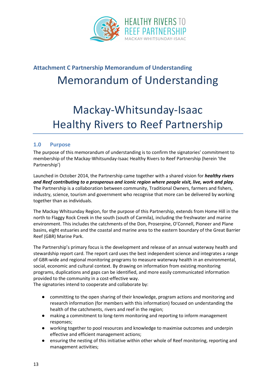

# <span id="page-14-0"></span>**Attachment C Partnership Memorandum of Understanding** Memorandum of Understanding

# Mackay-Whitsunday-Isaac Healthy Rivers to Reef Partnership

#### **1.0 Purpose**

The purpose of this memorandum of understanding is to confirm the signatories' commitment to membership of the Mackay-Whitsunday-Isaac Healthy Rivers to Reef Partnership (herein 'the Partnership')

Launched in October 2014, the Partnership came together with a shared vision for *healthy rivers and Reef contributing to a prosperous and iconic region where people visit, live, work and play.* The Partnership is a collaboration between community, Traditional Owners, farmers and fishers, industry, science, tourism and government who recognise that more can be delivered by working together than as individuals.

The Mackay Whitsunday Region, for the purpose of this Partnership, extends from Home Hill in the north to Flaggy Rock Creek in the south (south of Carmila), including the freshwater and marine environment. This includes the catchments of the Don, Proserpine, O'Connell, Pioneer and Plane basins, eight estuaries and the coastal and marine area to the eastern boundary of the Great Barrier Reef (GBR) Marine Park.

The Partnership's primary focus is the development and release of an annual waterway health and stewardship report card. The report card uses the best independent science and integrates a range of GBR-wide and regional monitoring programs to measure waterway health in an environmental, social, economic and cultural context. By drawing on information from existing monitoring programs, duplications and gaps can be identified, and more easily communicated information provided to the community in a cost-effective way.

The signatories intend to cooperate and collaborate by:

- committing to the open sharing of their knowledge, program actions and monitoring and research information (for members with this information) focused on understanding the health of the catchments, rivers and reef in the region;
- making a commitment to long-term monitoring and reporting to inform management responses;
- working together to pool resources and knowledge to maximise outcomes and underpin effective and efficient management actions;
- ensuring the nesting of this initiative within other whole of Reef monitoring, reporting and management activities;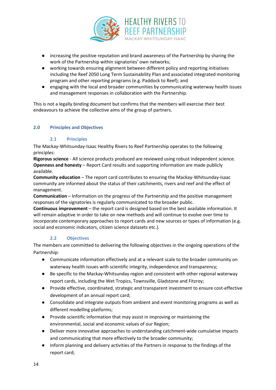

- increasing the positive reputation and brand awareness of the Partnership by sharing the work of the Partnership within signatories' own networks;
- working towards ensuring alignment between different policy and reporting initiatives including the Reef 2050 Long Term Sustainability Plan and associated integrated monitoring program and other reporting programs (e.g. Paddock to Reef); and
- engaging with the local and broader communities by communicating waterway health issues and management responses in collaboration with the Partnership.

This is not a legally binding document but confirms that the members will exercise their best endeavours to achieve the collective aims of the group of partners.

#### **2.0 Principles and Objectives**

#### **2.1 Principles**

The Mackay-Whitsunday-Isaac Healthy Rivers to Reef Partnership operates to the following principles:

**Rigorous science** - All science products produced are reviewed using robust independent science. **Openness and honesty** – Report Card results and supporting information are made publicly available.

**Community education** – The report card contributes to ensuring the Mackay-Whitsunday-Isaac community are informed about the status of their catchments, rivers and reef and the effect of management.

**Communication** – Information on the progress of the Partnership and the positive management responses of the signatories is regularly communicated to the broader public.

**Continuous improvement** – the report card is designed based on the best available information. It will remain adaptive in order to take on new methods and will continue to evolve over time to incorporate contemporary approaches to report cards and new sources or types of information (e.g. social and economic indicators, citizen science datasets etc.).

#### **2.2 Objectives**

The members are committed to delivering the following objectives in the ongoing operations of the Partnership:

- Communicate information effectively and at a relevant scale to the broader community on waterway health issues with scientific integrity, independence and transparency;
- Be specific to the Mackay-Whitsunday region and consistent with other regional waterway report cards, including the Wet Tropics, Townsville, Gladstone and Fitzroy;
- Provide effective, coordinated, strategic and transparent investment to ensure cost-effective development of an annual report card;
- Consolidate and integrate outputs from ambient and event monitoring programs as well as different modelling platforms;
- Provide scientific information that may assist in improving or maintaining the environmental, social and economic values of our Region;
- Deliver more innovative approaches to understanding catchment-wide cumulative impacts and communicating that more effectively to the broader community;
- Inform planning and delivery activities of the Partners in response to the findings of the report card;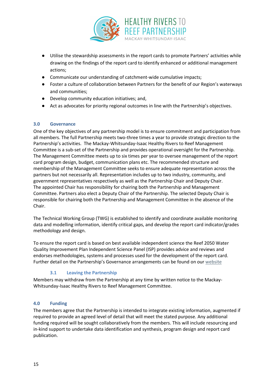

- Utilise the stewardship assessments in the report cards to promote Partners' activities while drawing on the findings of the report card to identify enhanced or additional management actions;
- Communicate our understanding of catchment-wide cumulative impacts;
- Foster a culture of collaboration between Partners for the benefit of our Region's waterways and communities;
- Develop community education initiatives; and,
- Act as advocates for priority regional outcomes in line with the Partnership's objectives.

#### **3.0 Governance**

One of the key objectives of any partnership model is to ensure commitment and participation from all members. The full Partnership meets two-three times a year to provide strategic direction to the Partnership's activities. The Mackay-Whitsunday-Isaac Healthy Rivers to Reef Management Committee is a sub-set of the Partnership and provides operational oversight for the Partnership. The Management Committee meets up to six times per year to oversee management of the report card program design, budget, communication plans etc. The recommended structure and membership of the Management Committee seeks to ensure adequate representation across the partners but not necessarily all. Representation includes up to two industry, community, and government representatives respectively as well as the Partnership Chair and Deputy Chair. The appointed Chair has responsibility for chairing both the Partnership and Management Committee. Partners also elect a Deputy Chair of the Partnership. The selected Deputy Chair is responsible for chairing both the Partnership and Management Committee in the absence of the Chair.

The Technical Working Group (TWG) is established to identify and coordinate available monitoring data and modelling information, identify critical gaps, and develop the report card indicator/grades methodology and design.

To ensure the report card is based on best available independent science the Reef 2050 Water Quality Improvement Plan Independent Science Panel (ISP) provides advice and reviews and endorses methodologies, systems and processes used for the development of the report card. Further detail on the Partnership's Governance arrangements can be found on our [website](https://healthyriverstoreef.org.au/about-us/governance/) 

#### **3.1 Leaving the Partnership**

Members may withdraw from the Partnership at any time by written notice to the Mackay-Whitsunday-Isaac Healthy Rivers to Reef Management Committee.

#### **4.0 Funding**

The members agree that the Partnership is intended to integrate existing information, augmented if required to provide an agreed level of detail that will meet the stated purpose. Any additional funding required will be sought collaboratively from the members. This will include resourcing and in-kind support to undertake data identification and synthesis, program design and report card publication.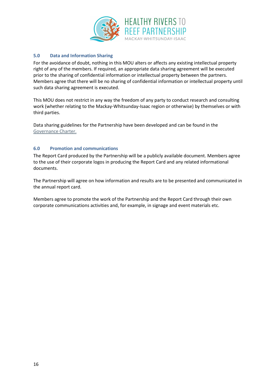

#### **5.0 Data and Information Sharing**

For the avoidance of doubt, nothing in this MOU alters or affects any existing intellectual property right of any of the members. If required, an appropriate data sharing agreement will be executed prior to the sharing of confidential information or intellectual property between the partners. Members agree that there will be no sharing of confidential information or intellectual property until such data sharing agreement is executed.

This MOU does not restrict in any way the freedom of any party to conduct research and consulting work (whether relating to the Mackay-Whitsunday-Isaac region or otherwise) by themselves or with third parties.

Data sharing guidelines for the Partnership have been developed and can be found in the [Governance Charter.](https://healthyriverstoreef.org.au/about-us/governance/)

#### **6.0 Promotion and communications**

The Report Card produced by the Partnership will be a publicly available document. Members agree to the use of their corporate logos in producing the Report Card and any related informational documents.

The Partnership will agree on how information and results are to be presented and communicated in the annual report card.

Members agree to promote the work of the Partnership and the Report Card through their own corporate communications activities and, for example, in signage and event materials etc.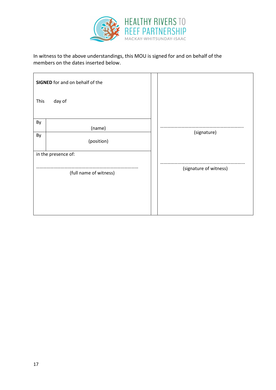

In witness to the above understandings, this MOU is signed for and on behalf of the members on the dates inserted below.

| <b>SIGNED</b> for and on behalf of the |                        |
|----------------------------------------|------------------------|
| This<br>day of                         |                        |
| By                                     |                        |
| (name)                                 |                        |
| By<br>(position)                       | (signature)            |
| in the presence of:                    |                        |
| (full name of witness)                 | (signature of witness) |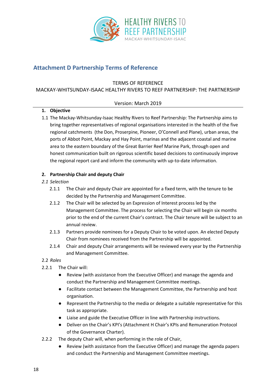

# <span id="page-19-0"></span>**Attachment D Partnership Terms of Reference**

#### TERMS OF REFERENCE MACKAY-WHITSUNDAY-ISAAC HEALTHY RIVERS TO REEF PARTNERSHIP: THE PARTNERSHIP

#### Version: March 2019

#### **1. Objective**

1.1 The Mackay-Whitsunday-Isaac Healthy Rivers to Reef Partnership: The Partnership aims to bring together representatives of regional organisations interested in the health of the five regional catchments (the Don, Proserpine, Pioneer, O'Connell and Plane), urban areas, the ports of Abbot Point, Mackay and Hay Point, marinas and the adjacent coastal and marine area to the eastern boundary of the Great Barrier Reef Marine Park, through open and honest communication built on rigorous scientific based decisions to continuously improve the regional report card and inform the community with up-to-date information.

#### **2. Partnership Chair and deputy Chair**

#### *2.1 Selection*

- 2.1.1 The Chair and deputy Chair are appointed for a fixed term, with the tenure to be decided by the Partnership and Management Committee.
- 2.1.2 The Chair will be selected by an Expression of Interest process led by the Management Committee. The process for selecting the Chair will begin six months prior to the end of the current Chair's contract. The Chair tenure will be subject to an annual review.
- 2.1.3 Partners provide nominees for a Deputy Chair to be voted upon. An elected Deputy Chair from nominees received from the Partnership will be appointed.
- 2.1.4 Chair and deputy Chair arrangements will be reviewed every year by the Partnership and Management Committee.

#### 2.2 *Roles*

- 2.2.1 The Chair will:
	- Review (with assistance from the Executive Officer) and manage the agenda and conduct the Partnership and Management Committee meetings.
	- Facilitate contact between the Management Committee, the Partnership and host organisation.
	- Represent the Partnership to the media or delegate a suitable representative for this task as appropriate.
	- Liaise and guide the Executive Officer in line with Partnership instructions.
	- Deliver on the Chair's KPI's (Attachment H Chair's KPIs and Remuneration Protocol of the Governance Charter).
- 2.2.2 The deputy Chair will, when performing in the role of Chair,
	- Review (with assistance from the Executive Officer) and manage the agenda papers and conduct the Partnership and Management Committee meetings.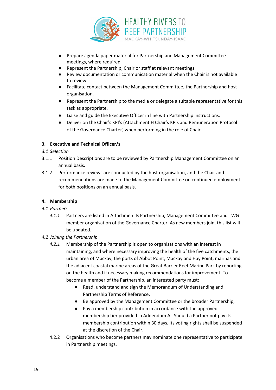

- Prepare agenda paper material for Partnership and Management Committee meetings, where required
- Represent the Partnership, Chair or staff at relevant meetings
- Review documentation or communication material when the Chair is not available to review.
- Facilitate contact between the Management Committee, the Partnership and host organisation.
- Represent the Partnership to the media or delegate a suitable representative for this task as appropriate.
- Liaise and guide the Executive Officer in line with Partnership instructions.
- Deliver on the Chair's KPI's (Attachment H Chair's KPIs and Remuneration Protocol of the Governance Charter) when performing in the role of Chair.

#### **3. Executive and Technical Officer/s**

#### *3.1 Selection*

- 3.1.1 Position Descriptions are to be reviewed by Partnership Management Committee on an annual basis.
- 3.1.2 Performance reviews are conducted by the host organisation, and the Chair and recommendations are made to the Management Committee on continued employment for both positions on an annual basis.

#### **4. Membership**

- *4.1 Partners*
	- *4.1.1* Partners are listed in Attachment B Partnership, Management Committee and TWG member organisation of the Governance Charter. As new members join, this list will be updated.

#### *4.2 Joining the Partnership*

- *4.2.1* Membership of the Partnership is open to organisations with an interest in maintaining, and where necessary improving the health of the five catchments, the urban area of Mackay, the ports of Abbot Point, Mackay and Hay Point, marinas and the adjacent coastal marine areas of the Great Barrier Reef Marine Park by reporting on the health and if necessary making recommendations for improvement. To become a member of the Partnership, an interested party must:
	- Read, understand and sign the Memorandum of Understanding and Partnership Terms of Reference,
	- Be approved by the Management Committee or the broader Partnership,
	- Pay a membership contribution in accordance with the approved membership tier provided in Addendum A. Should a Partner not pay its membership contribution within 30 days, its voting rights shall be suspended at the discretion of the Chair.
- 4.2.2 Organisations who become partners may nominate one representative to participate in Partnership meetings.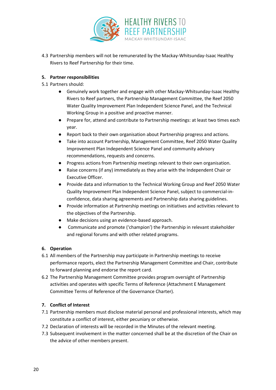

4.3 Partnership members will not be remunerated by the Mackay-Whitsunday-Isaac Healthy Rivers to Reef Partnership for their time.

#### **5. Partner responsibilities**

- 5.1 Partners should:
	- Genuinely work together and engage with other Mackay-Whitsunday-Isaac Healthy Rivers to Reef partners, the Partnership Management Committee, the Reef 2050 Water Quality Improvement Plan Independent Science Panel, and the Technical Working Group in a positive and proactive manner.
	- Prepare for, attend and contribute to Partnership meetings: at least two times each year.
	- Report back to their own organisation about Partnership progress and actions.
	- Take into account Partnership, Management Committee, Reef 2050 Water Quality Improvement Plan Independent Science Panel and community advisory recommendations, requests and concerns.
	- Progress actions from Partnership meetings relevant to their own organisation.
	- Raise concerns (if any) immediately as they arise with the Independent Chair or Executive Officer.
	- Provide data and information to the Technical Working Group and Reef 2050 Water Quality Improvement Plan Independent Science Panel, subject to commercial-inconfidence, data sharing agreements and Partnership data sharing guidelines.
	- Provide information at Partnership meetings on initiatives and activities relevant to the objectives of the Partnership.
	- Make decisions using an evidence-based approach.
	- Communicate and promote ('champion') the Partnership in relevant stakeholder and regional forums and with other related programs.

#### **6. Operation**

- 6.1 All members of the Partnership may participate in Partnership meetings to receive performance reports, elect the Partnership Management Committee and Chair, contribute to forward planning and endorse the report card.
- 6.2 The Partnership Management Committee provides program oversight of Partnership activities and operates with specific Terms of Reference (Attachment E Management Committee Terms of Reference of the Governance Charter).

#### **7. Conflict of Interest**

- 7.1 Partnership members must disclose material personal and professional interests, which may constitute a conflict of interest, either pecuniary or otherwise.
- 7.2 Declaration of interests will be recorded in the Minutes of the relevant meeting.
- 7.3 Subsequent involvement in the matter concerned shall be at the discretion of the Chair on the advice of other members present.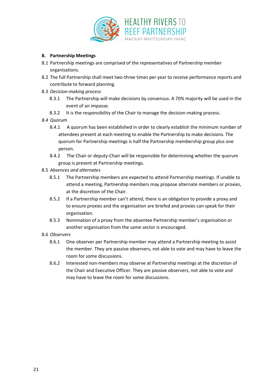

#### **8. Partnership Meetings**

- 8.1 Partnership meetings are comprised of the representatives of Partnership member organisations.
- 8.2 The full Partnership shall meet two-three times per year to receive performance reports and contribute to forward planning.
- 8.3 *Decision-making process*
	- 8.3.1 The Partnership will make decisions by consensus. A 70% majority will be used in the event of an impasse.
	- 8.3.2 It is the responsibility of the Chair to manage the decision-making process.
- *8.4 Quorum*
	- 8.4.1 A quorum has been established in order to clearly establish the minimum number of attendees present at each meeting to enable the Partnership to make decisions. The quorum for Partnership meetings is half the Partnership membership group plus one person.
	- 8.4.2 The Chair or deputy-Chair will be responsible for determining whether the quorum group is present at Partnership meetings.
- 8.5 *Absences and alternates*
	- 8.5.1 The Partnership members are expected to attend Partnership meetings. If unable to attend a meeting, Partnership members may propose alternate members or proxies, at the discretion of the Chair.
	- 8.5.2 If a Partnership member can't attend, there is an obligation to provide a proxy and to ensure proxies and the organisation are briefed and proxies can speak for their organisation.
	- 8.5.3 Nomination of a proxy from the absentee Partnership member's organisation or another organisation from the same sector is encouraged.
- 8.6 *Observers*
	- 8.6.1 One observer per Partnership member may attend a Partnership meeting to assist the member. They are passive observers, not able to vote and may have to leave the room for some discussions.
	- 8.6.2 Interested non-members may observe at Partnership meetings at the discretion of the Chair and Executive Officer. They are passive observers, not able to vote and may have to leave the room for some discussions.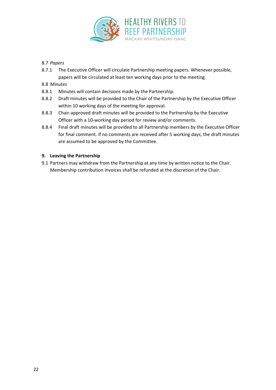

#### 8.7 *Papers*

8.7.1 The Executive Officer will circulate Partnership meeting papers. Whenever possible, papers will be circulated at least ten working days prior to the meeting.

#### 8.8 *Minutes*

- 8.8.1 Minutes will contain decisions made by the Partnership.
- 8.8.2 Draft minutes will be provided to the Chair of the Partnership by the Executive Officer within 10 working days of the meeting for approval.
- 8.8.3 Chair-approved draft minutes will be provided to the Partnership by the Executive Officer with a 10-working day period for review and/or comments.
- 8.8.4 Final draft minutes will be provided to all Partnership members by the Executive Officer for final comment. If no comments are received after 5 working days, the draft minutes are assumed to be approved by the Committee.

#### **9. Leaving the Partnership**

9.1 Partners may withdraw from the Partnership at any time by written notice to the Chair. Membership contribution invoices shall be refunded at the discretion of the Chair.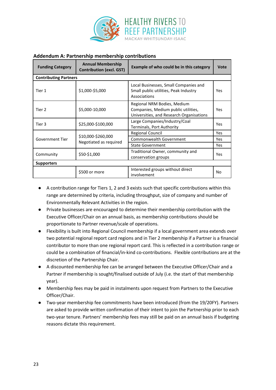

#### **Addendum A: Partnership membership contributions**

| <b>Funding Category</b>      | <b>Annual Membership</b><br><b>Contribution (excl. GST)</b> | Example of who could be in this category                                                                       | Vote       |
|------------------------------|-------------------------------------------------------------|----------------------------------------------------------------------------------------------------------------|------------|
| <b>Contributing Partners</b> |                                                             |                                                                                                                |            |
| Tier 1                       | \$1,000-\$5,000                                             | Local Businesses, Small Companies and<br>Small public utilities, Peak Industry<br>Associations                 | Yes        |
| Tier 2                       | \$5,000-10,000                                              | Regional NRM Bodies, Medium<br>Companies, Medium public utilities,<br>Universities, and Research Organisations | Yes        |
| Tier 3                       | \$25,000-\$100,000                                          | Large Companies/Industry/Coal<br>Terminals, Port Authority                                                     | <b>Yes</b> |
|                              | \$10,000-\$260,000<br>Negotiated as required                | <b>Regional Council</b>                                                                                        | <b>Yes</b> |
| Government Tier              |                                                             | <b>Commonwealth Government</b>                                                                                 |            |
|                              |                                                             | <b>State Government</b>                                                                                        | <b>Yes</b> |
| Community                    | \$50-\$1,000                                                | Traditional Owner, community and<br>conservation groups                                                        |            |
| <b>Supporters</b>            |                                                             |                                                                                                                |            |
|                              | \$500 or more                                               | Interested groups without direct<br>involvement                                                                | N٥         |

- A contribution range for Tiers 1, 2 and 3 exists such that specific contributions within this range are determined by criteria, including throughput, size of company and number of Environmentally Relevant Activities in the region.
- Private businesses are encouraged to determine their membership contribution with the Executive Officer/Chair on an annual basis, as membership contributions should be proportionate to Partner revenue/scale of operations.
- Flexibility is built into Regional Council membership if a local government area extends over two potential regional report card regions and in Tier 2 membership if a Partner is a financial contributor to more than one regional report card. This is reflected in a contribution range or could be a combination of financial/in-kind co-contributions. Flexible contributions are at the discretion of the Partnership Chair.
- A discounted membership fee can be arranged between the Executive Officer/Chair and a Partner if membership is sought/finalised outside of July (i.e. the start of that membership year).
- Membership fees may be paid in instalments upon request from Partners to the Executive Officer/Chair.
- Two-year membership fee commitments have been introduced (from the 19/20FY). Partners are asked to provide written confirmation of their intent to join the Partnership prior to each two-year tenure. Partners' membership fees may still be paid on an annual basis if budgeting reasons dictate this requirement.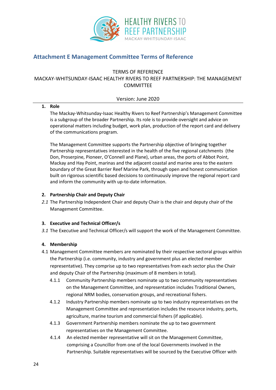

# <span id="page-25-0"></span>**Attachment E Management Committee Terms of Reference**

#### TERMS OF REFERENCE

#### MACKAY-WHITSUNDAY-ISAAC HEALTHY RIVERS TO REEF PARTNERSHIP: THE MANAGEMENT COMMITTEE

#### Version: June 2020

#### **1. Role**

The Mackay-Whitsunday-Isaac Healthy Rivers to Reef Partnership's Management Committee is a subgroup of the broader Partnership. Its role is to provide oversight and advice on operational matters including budget, work plan, production of the report card and delivery of the communications program.

The Management Committee supports the Partnership objective of bringing together Partnership representatives interested in the health of the five regional catchments (the Don, Proserpine, Pioneer, O'Connell and Plane), urban areas, the ports of Abbot Point, Mackay and Hay Point, marinas and the adjacent coastal and marine area to the eastern boundary of the Great Barrier Reef Marine Park, through open and honest communication built on rigorous scientific based decisions to continuously improve the regional report card and inform the community with up-to-date information.

#### **2. Partnership Chair and Deputy Chair**

*2.1* The Partnership Independent Chair and deputy Chair is the chair and deputy chair of the Management Committee.

#### **3. Executive and Technical Officer/s**

*3.1* The Executive and Technical Officer/s will support the work of the Management Committee.

#### **4. Membership**

- 4.1 Management Committee members are nominated by their respective sectoral groups within the Partnership (i.e. community, industry and government plus an elected member representative). They comprise up to two representatives from each sector plus the Chair and deputy Chair of the Partnership (maximum of 8 members in total).
	- 4.1.1 Community Partnership members nominate up to two community representatives on the Management Committee, and representation includes Traditional Owners, regional NRM bodies, conservation groups, and recreational fishers.
	- 4.1.2 Industry Partnership members nominate up to two industry representatives on the Management Committee and representation includes the resource industry, ports, agriculture, marine tourism and commercial fishers (if applicable).
	- 4.1.3 Government Partnership members nominate the up to two government representatives on the Management Committee.
	- 4.1.4 An elected member representative will sit on the Management Committee, comprising a Councillor from one of the local Governments involved in the Partnership. Suitable representatives will be sourced by the Executive Officer with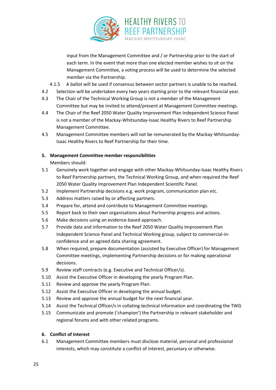

input from the Management Committee and / or Partnership prior to the start of each term. In the event that more than one elected member wishes to sit on the Management Committee, a voting process will be used to determine the selected member via the Partnership.

- 4.1.5 A ballot will be used if consensus between sector partners is unable to be reached.
- 4.2 Selection will be undertaken every two years starting prior to the relevant financial year.
- 4.3 The Chair of the Technical Working Group is not a member of the Management Committee but may be invited to attend/present at Management Committee meetings.
- 4.4 The Chair of the Reef 2050 Water Quality Improvement Plan Independent Science Panel is not a member of the Mackay-Whitsunday-Isaac Healthy Rivers to Reef Partnership Management Committee.
- 4.5 Management Committee members will not be remunerated by the Mackay-Whitsunday-Isaac Healthy Rivers to Reef Partnership for their time.

#### **5. Management Committee member responsibilities**

Members should:

- 5.1 Genuinely work together and engage with other Mackay-Whitsunday-Isaac Healthy Rivers to Reef Partnership partners, the Technical Working Group, and when required the Reef 2050 Water Quality Improvement Plan Independent Scientific Panel.
- 5.2 Implement Partnership decisions e.g. work program, communication plan etc.
- 5.3 Address matters raised by or affecting partners.
- 5.4 Prepare for, attend and contribute to Management Committee meetings.
- 5.5 Report back to their own organisations about Partnership progress and actions.
- 5.6 Make decisions using an evidence-based approach.
- 5.7 Provide data and information to the Reef 2050 Water Quality Improvement Plan Independent Science Panel and Technical Working group, subject to commercial-inconfidence and an agreed data sharing agreement.
- 5.8 When required, prepare documentation (assisted by Executive Officer) for Management Committee meetings, implementing Partnership decisions or for making operational decisions.
- 5.9 Review staff contracts (e.g. Executive and Technical Officer/s).
- 5.10 Assist the Executive Officer in developing the yearly Program Plan.
- 5.11 Review and approve the yearly Program Plan.
- 5.12 Assist the Executive Officer in developing the annual budget.
- 5.13 Review and approve the annual budget for the next financial year.
- 5.14 Assist the Technical Officer/s in collating technical information and coordinating the TWG
- 5.15 Communicate and promote ('champion') the Partnership in relevant stakeholder and regional forums and with other related programs.

#### **6. Conflict of Interest**

6.1 Management Committee members must disclose material, personal and professional interests, which may constitute a conflict of interest, pecuniary or otherwise.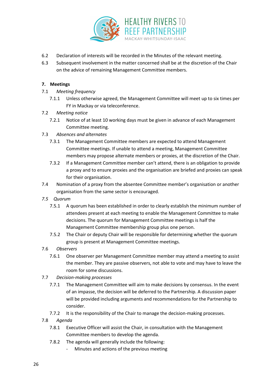

- 6.2 Declaration of interests will be recorded in the Minutes of the relevant meeting.
- 6.3 Subsequent involvement in the matter concerned shall be at the discretion of the Chair on the advice of remaining Management Committee members.

#### **7. Meetings**

#### 7.1 *Meeting frequency*

7.1.1 Unless otherwise agreed, the Management Committee will meet up to six times per FY in Mackay or via teleconference.

#### 7.2 *Meeting notice*

- 7.2.1 Notice of at least 10 working days must be given in advance of each Management Committee meeting.
- 7.3 *Absences and alternates*
	- 7.3.1 The Management Committee members are expected to attend Management Committee meetings. If unable to attend a meeting, Management Committee members may propose alternate members or proxies, at the discretion of the Chair.
	- 7.3.2 If a Management Committee member can't attend, there is an obligation to provide a proxy and to ensure proxies and the organisation are briefed and proxies can speak for their organisation.
- 7.4 Nomination of a proxy from the absentee Committee member's organisation or another organisation from the same sector is encouraged.
- *7.5 Quorum*
	- 7.5.1 A quorum has been established in order to clearly establish the minimum number of attendees present at each meeting to enable the Management Committee to make decisions. The quorum for Management Committee meetings is half the Management Committee membership group plus one person.
	- 7.5.2 The Chair or deputy Chair will be responsible for determining whether the quorum group is present at Management Committee meetings.
- 7.6 *Observers*
	- 7.6.1 One observer per Management Committee member may attend a meeting to assist the member. They are passive observers, not able to vote and may have to leave the room for some discussions.
- 7.7 *Decision-making processes*
	- 7.7.1 The Management Committee will aim to make decisions by consensus. In the event of an impasse, the decision will be deferred to the Partnership. A discussion paper will be provided including arguments and recommendations for the Partnership to consider.
	- 7.7.2 It is the responsibility of the Chair to manage the decision-making processes.
- 7.8 *Agenda*
	- 7.8.1 Executive Officer will assist the Chair, in consultation with the Management Committee members to develop the agenda.
	- 7.8.2 The agenda will generally include the following:
		- Minutes and actions of the previous meeting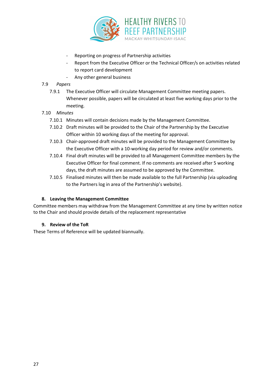

- Reporting on progress of Partnership activities
- Report from the Executive Officer or the Technical Officer/s on activities related to report card development
- Any other general business

#### 7.9 *Papers*

- 7.9.1 The Executive Officer will circulate Management Committee meeting papers. Whenever possible, papers will be circulated at least five working days prior to the meeting.
- 7.10 *Minutes*
	- 7.10.1 Minutes will contain decisions made by the Management Committee.
	- 7.10.2 Draft minutes will be provided to the Chair of the Partnership by the Executive Officer within 10 working days of the meeting for approval.
	- 7.10.3 Chair-approved draft minutes will be provided to the Management Committee by the Executive Officer with a 10-working day period for review and/or comments.
	- 7.10.4 Final draft minutes will be provided to all Management Committee members by the Executive Officer for final comment. If no comments are received after 5 working days, the draft minutes are assumed to be approved by the Committee.
	- 7.10.5 Finalised minutes will then be made available to the full Partnership (via uploading to the Partners log in area of the Partnership's website).

#### **8. Leaving the Management Committee**

Committee members may withdraw from the Management Committee at any time by written notice to the Chair and should provide details of the replacement representative

#### **9. Review of the ToR**

These Terms of Reference will be updated biannually.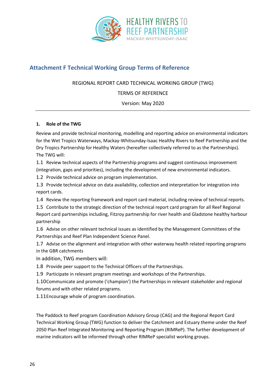

# <span id="page-29-0"></span>**Attachment F Technical Working Group Terms of Reference**

#### REGIONAL REPORT CARD TECHNICAL WORKING GROUP (TWG)

TERMS OF REFERENCE

Version: May 2020

#### **1. Role of the TWG**

Review and provide technical monitoring, modelling and reporting advice on environmental indicators for the Wet Tropics Waterways, Mackay-Whitsunday-Isaac Healthy Rivers to Reef Partnership and the Dry Tropics Partnership for Healthy Waters (hereafter collectively referred to as the Partnerships). The TWG will:

1.1 Review technical aspects of the Partnership programs and suggest continuous improvement (integration, gaps and priorities), including the development of new environmental indicators.

1.2 Provide technical advice on program implementation.

1.3 Provide technical advice on data availability, collection and interpretation for integration into report cards.

1.4 Review the reporting framework and report card material, including review of technical reports.

1.5 Contribute to the strategic direction of the technical report card program for all Reef Regional Report card partnerships including, Fitzroy partnership for river health and Gladstone healthy harbour partnership

1.6 Advise on other relevant technical issues as identified by the Management Committees of the Partnerships and Reef Plan Independent Science Panel.

1.7 Advise on the alignment and integration with other waterway health related reporting programs in the GBR catchments

In addition, TWG members will:

1.8 Provide peer support to the Technical Officers of the Partnerships.

1.9 Participate in relevant program meetings and workshops of the Partnerships.

1.10Communicate and promote ('champion') the Partnerships in relevant stakeholder and regional forums and with other related programs.

1.11Encourage whole of program coordination.

The Paddock to Reef program Coordination Advisory Group (CAG) and the Regional Report Card Technical Working Group (TWG) function to deliver the Catchment and Estuary theme under the Reef 2050 Plan Reef Integrated Monitoring and Reporting Program (RIMReP). The further development of marine indicators will be informed through other RIMReP specialist working groups.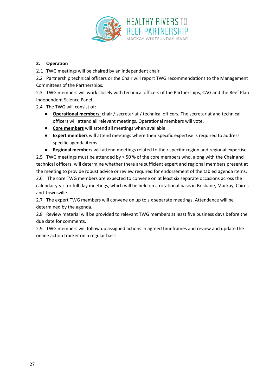

#### **2. Operation**

2.1 TWG meetings will be chaired by an independent chair

2.2 Partnership technical officers or the Chair will report TWG recommendations to the Management Committees of the Partnerships.

2.3 TWG members will work closely with technical officers of the Partnerships, CAG and the Reef Plan Independent Science Panel.

2.4 The TWG will consist of:

- **Operational members**: chair / secretariat / technical officers. The secretariat and technical officers will attend all relevant meetings. Operational members will vote.
- **Core members** will attend all meetings when available.
- **Expert members** will attend meetings where their specific expertise is required to address specific agenda items.
- **Regional members** will attend meetings related to their specific region and regional expertise.

2.5 TWG meetings must be attended by > 50 % of the core members who, along with the Chair and technical officers, will determine whether there are sufficient expert and regional members present at the meeting to provide robust advice or review required for endorsement of the tabled agenda items.

2.6 The core TWG members are expected to convene on at least six separate occasions across the calendar year for full day meetings, which will be held on a rotational basis in Brisbane, Mackay, Cairns and Townsville.

2.7 The expert TWG members will convene on up to six separate meetings. Attendance will be determined by the agenda.

2.8 Review material will be provided to relevant TWG members at least five business days before the due date for comments.

2.9 TWG members will follow up assigned actions in agreed timeframes and review and update the online action tracker on a regular basis.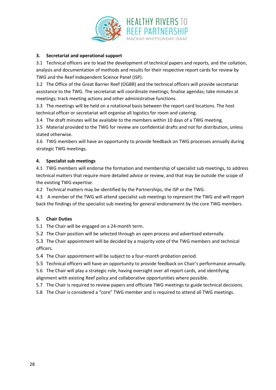

#### **3. Secretariat and operational support**

3.1 Technical officers are to lead the development of technical papers and reports, and the collation, analysis and documentation of methods and results for their respective report cards for review by TWG and the Reef Independent Science Panel (ISP).

3.2 The Office of the Great Barrier Reef (OGBR) and the technical officers will provide secretariat assistance to the TWG. The secretariat will coordinate meetings; finalise agendas; take minutes at meetings; track meeting actions and other administrative functions.

3.3 The meetings will be held on a rotational basis between the report card locations. The host technical officer or secretariat will organise all logistics for room and catering.

3.4 The draft minutes will be available to the members within 10 days of a TWG meeting.

3.5 Material provided to the TWG for review are confidential drafts and not for distribution, unless stated otherwise.

3.6 TWG members will have an opportunity to provide feedback on TWG processes annually during strategic TWG meetings.

#### **4. Specialist sub meetings**

4.1 TWG members will endorse the formation and membership of specialist sub meetings, to address technical matters that require more detailed advice or review, and that may be outside the scope of the existing TWG expertise.

4.2 Technical matters may be identified by the Partnerships, the ISP or the TWG.

4.3 A member of the TWG will attend specialist sub meetings to represent the TWG and will report back the findings of the specialist sub meeting for general endorsement by the core TWG members.

#### **5. Chair Duties**

5.1 The Chair will be engaged on a 24-month term.

5.2 The Chair position will be selected through an open process and advertised externally.

5.3 The Chair appointment will be decided by a majority vote of the TWG members and technical officers.

5.4 The Chair appointment will be subject to a four-month probation period.

5.5 Technical officers will have an opportunity to provide feedback on Chair's performance annually.

5.6 The Chair will play a strategic role, having oversight over all report cards, and identifying alignment with existing Reef policy and collaborative opportunities where possible.

5.7 The Chair is required to review papers and officiate TWG meetings to guide technical decisions.

5.8 The Chair is considered a "core" TWG member and is required to attend all TWG meetings.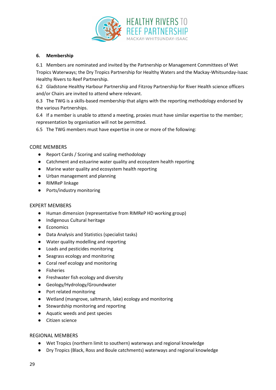

#### **6. Membership**

6.1 Members are nominated and invited by the Partnership or Management Committees of Wet Tropics Waterways; the Dry Tropics Partnership for Healthy Waters and the Mackay-Whitsunday-Isaac Healthy Rivers to Reef Partnership.

6.2 Gladstone Healthy Harbour Partnership and Fitzroy Partnership for River Health science officers and/or Chairs are invited to attend where relevant.

6.3 The TWG is a skills-based membership that aligns with the reporting methodology endorsed by the various Partnerships.

6.4 If a member is unable to attend a meeting, proxies must have similar expertise to the member; representation by organisation will not be permitted.

6.5 The TWG members must have expertise in one or more of the following:

#### CORE MEMBERS

- Report Cards / Scoring and scaling methodology
- Catchment and estuarine water quality and ecosystem health reporting
- Marine water quality and ecosystem health reporting
- Urban management and planning
- RIMReP linkage
- Ports/industry monitoring

#### EXPERT MEMBERS

- Human dimension (representative from RIMReP HD working group)
- Indigenous Cultural heritage
- Economics
- Data Analysis and Statistics (specialist tasks)
- Water quality modelling and reporting
- Loads and pesticides monitoring
- Seagrass ecology and monitoring
- Coral reef ecology and monitoring
- Fisheries
- Freshwater fish ecology and diversity
- Geology/Hydrology/Groundwater
- Port related monitoring
- Wetland (mangrove, saltmarsh, lake) ecology and monitoring
- Stewardship monitoring and reporting
- Aquatic weeds and pest species
- Citizen science

#### REGIONAL MEMBERS

- Wet Tropics (northern limit to southern) waterways and regional knowledge
- Dry Tropics (Black, Ross and Boule catchments) waterways and regional knowledge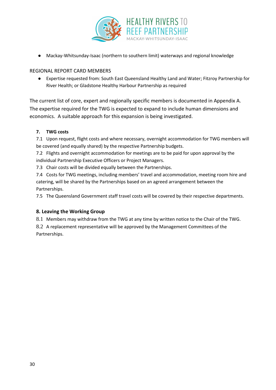

Mackay-Whitsunday-Isaac (northern to southern limit) waterways and regional knowledge

#### REGIONAL REPORT CARD MEMBERS

● Expertise requested from: South East Queensland Healthy Land and Water; Fitzroy Partnership for River Health; or Gladstone Healthy Harbour Partnership as required

The current list of core, expert and regionally specific members is documented in Appendix A. The expertise required for the TWG is expected to expand to include human dimensions and economics. A suitable approach for this expansion is being investigated.

#### **7. TWG costs**

7.1 Upon request, flight costs and where necessary, overnight accommodation for TWG members will be covered (and equally shared) by the respective Partnership budgets.

7.2 Flights and overnight accommodation for meetings are to be paid for upon approval by the individual Partnership Executive Officers or Project Managers.

7.3 Chair costs will be divided equally between the Partnerships.

7.4 Costs for TWG meetings, including members' travel and accommodation, meeting room hire and catering, will be shared by the Partnerships based on an agreed arrangement between the Partnerships.

7.5 The Queensland Government staff travel costs will be covered by their respective departments.

#### **8. Leaving the Working Group**

8.1 Members may withdraw from the TWG at any time by written notice to the Chair of the TWG.

8.2 A replacement representative will be approved by the Management Committees of the Partnerships.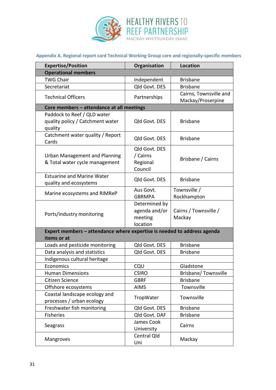

# **Appendix A. Regional report card Technical Working Group core and regionally-specific members**

| <b>Expertise/Position</b>                                                              | Organisation                                          | <b>Location</b>                             |
|----------------------------------------------------------------------------------------|-------------------------------------------------------|---------------------------------------------|
| <b>Operational members</b>                                                             |                                                       |                                             |
| <b>TWG Chair</b>                                                                       | Independent                                           | <b>Brisbane</b>                             |
| Secretariat                                                                            | Qld Govt. DES                                         | <b>Brisbane</b>                             |
| <b>Technical Officers</b>                                                              | Partnerships                                          | Cairns, Townsville and<br>Mackay/Proserpine |
| Core members - attendance at all meetings                                              |                                                       |                                             |
| Paddock to Reef / QLD water<br>quality policy / Catchment water<br>quality             | Old Govt. DES                                         | <b>Brisbane</b>                             |
| Catchment water quality / Report<br>Cards                                              | Qld Govt. DES                                         | <b>Brisbane</b>                             |
| Urban Management and Planning<br>& Total water cycle management                        | Qld Govt. DES<br>/ Cairns<br>Regional<br>Council      | Brisbane / Cairns                           |
| <b>Estuarine and Marine Water</b><br>quality and ecosystems                            | Qld Govt. DES                                         | <b>Brisbane</b>                             |
| Marine ecosystems and RIMReP                                                           | Aus Govt.<br><b>GBRMPA</b>                            | Townsville /<br>Rockhampton                 |
| Ports/industry monitoring                                                              | Determined by<br>agenda and/or<br>meeting<br>location | Cairns / Townsville /<br>Mackay             |
| Expert members - attendance where expertise is needed to address agenda<br>items or at |                                                       |                                             |
| Loads and pesticide monitoring                                                         | Qld Govt. DES                                         | <b>Brisbane</b>                             |
| Data analysis and statistics                                                           | Qld Govt. DES                                         | <b>Brisbane</b>                             |
| Indigenous cultural heritage                                                           |                                                       |                                             |
| Economics                                                                              | CQU                                                   | Gladstone                                   |
| <b>Human Dimensions</b>                                                                | <b>CSIRO</b>                                          | Brisbane/Townsville                         |
| Citizen Science                                                                        | <b>GBRF</b>                                           | <b>Brisbane</b>                             |
| Offshore ecosystems                                                                    | <b>AIMS</b>                                           | Townsville                                  |
| Coastal landscape ecology and<br>processes / urban ecology                             | TropWater                                             | Townsville                                  |
| Freshwater fish monitoring                                                             | Qld Govt. DES                                         | <b>Brisbane</b>                             |
| <b>Fisheries</b>                                                                       | Qld Govt. DAF                                         | <b>Brisbane</b>                             |
| Seagrass                                                                               | James Cook<br>University                              | Cairns                                      |
| Mangroves                                                                              | Central Qld<br>Uni                                    | Mackay                                      |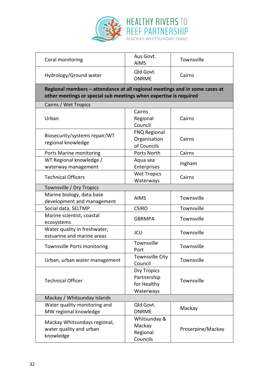

| Coral monitoring                                                                                                                                 | Aus Govt.<br><b>AIMS</b>                                      | Townsville        |  |
|--------------------------------------------------------------------------------------------------------------------------------------------------|---------------------------------------------------------------|-------------------|--|
| Hydrology/Ground water                                                                                                                           | Qld Govt.<br><b>DNRME</b>                                     | Cairns            |  |
| Regional members - attendance at all regional meetings and in some cases at<br>other meetings or special sub meetings when expertise is required |                                                               |                   |  |
| Cairns / Wet Tropics                                                                                                                             |                                                               |                   |  |
| Urban                                                                                                                                            | Cairns<br>Regional<br>Council                                 | Cairns            |  |
| Biosecurity/systems repair/WT<br>regional knowledge                                                                                              | <b>FNQ Regional</b><br>Organisation<br>of Councils            | Cairns            |  |
| Ports Marine monitoring                                                                                                                          | Ports North                                                   | Cairns            |  |
| WT Regional knowledge /<br>waterway management                                                                                                   | Aqua sea<br>Enterprises                                       | Ingham            |  |
| <b>Technical Officers</b>                                                                                                                        | <b>Wet Tropics</b><br>Waterways                               | Cairns            |  |
| Townsville / Dry Tropics                                                                                                                         |                                                               |                   |  |
| Marine biology, data base                                                                                                                        | <b>AIMS</b>                                                   | Townsville        |  |
| development and management                                                                                                                       |                                                               |                   |  |
| Social data, SELTMP                                                                                                                              | <b>CSIRO</b>                                                  | Townsville        |  |
| Marine scientist, coastal<br>ecosystems                                                                                                          | <b>GBRMPA</b>                                                 | Townsville        |  |
| Water quality in freshwater,<br>estuarine and marine areas                                                                                       | <b>JCU</b>                                                    | Townsville        |  |
| Townsville Ports monitoring                                                                                                                      | Townsville<br>Port                                            | Townsville        |  |
| Urban, urban water management                                                                                                                    | <b>Townsville City</b><br>Council                             | Townsville        |  |
| <b>Technical Officer</b>                                                                                                                         | <b>Dry Tropics</b><br>Partnership<br>for Healthy<br>Waterways | Townsville        |  |
| Mackay / Whitsunday Islands                                                                                                                      |                                                               |                   |  |
| Water quality monitoring and<br>MW regional knowledge                                                                                            | Qld Govt.<br><b>DNRME</b>                                     | Mackay            |  |
| Mackay Whitsundays regional,<br>water quality and urban<br>knowledge                                                                             | Whitsunday &<br>Mackay<br>Regional<br>Councils                | Proserpine/Mackay |  |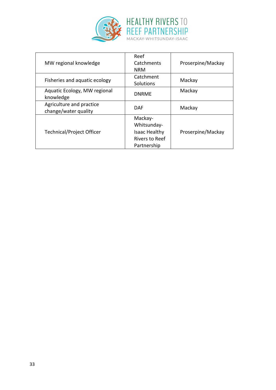

| MW regional knowledge                            | Reef<br>Catchments<br><b>NRM</b>                                                       | Proserpine/Mackay |
|--------------------------------------------------|----------------------------------------------------------------------------------------|-------------------|
| Fisheries and aquatic ecology                    | Catchment<br>Solutions                                                                 | Mackay            |
| Aquatic Ecology, MW regional<br>knowledge        | <b>DNRME</b>                                                                           | Mackay            |
| Agriculture and practice<br>change/water quality | <b>DAF</b>                                                                             | Mackay            |
| <b>Technical/Project Officer</b>                 | Mackay-<br>Whitsunday-<br><b>Isaac Healthy</b><br><b>Rivers to Reef</b><br>Partnership | Proserpine/Mackay |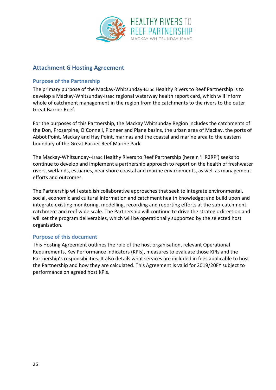

# <span id="page-37-0"></span>**Attachment G Hosting Agreement**

#### **Purpose of the Partnership**

The primary purpose of the Mackay-Whitsunday-Isaac Healthy Rivers to Reef Partnership is to develop a Mackay-Whitsunday-Isaac regional waterway health report card, which will inform whole of catchment management in the region from the catchments to the rivers to the outer Great Barrier Reef.

For the purposes of this Partnership, the Mackay Whitsunday Region includes the catchments of the Don, Proserpine, O'Connell, Pioneer and Plane basins, the urban area of Mackay, the ports of Abbot Point, Mackay and Hay Point, marinas and the coastal and marine area to the eastern boundary of the Great Barrier Reef Marine Park.

The Mackay-Whitsunday--Isaac Healthy Rivers to Reef Partnership (herein 'HR2RP') seeks to continue to develop and implement a partnership approach to report on the health of freshwater rivers, wetlands, estuaries, near shore coastal and marine environments, as well as management efforts and outcomes.

The Partnership will establish collaborative approaches that seek to integrate environmental, social, economic and cultural information and catchment health knowledge; and build upon and integrate existing monitoring, modelling, recording and reporting efforts at the sub-catchment, catchment and reef wide scale. The Partnership will continue to drive the strategic direction and will set the program deliverables, which will be operationally supported by the selected host organisation.

#### **Purpose of this document**

This Hosting Agreement outlines the role of the host organisation, relevant Operational Requirements, Key Performance Indicators (KPIs), measures to evaluate those KPIs and the Partnership's responsibilities. It also details what services are included in fees applicable to host the Partnership and how they are calculated. This Agreement is valid for 2019/20FY subject to performance on agreed host KPIs.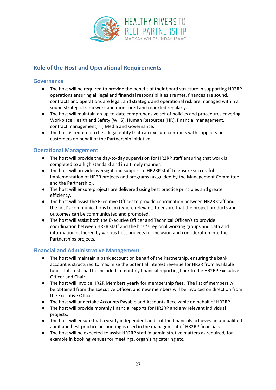

# <span id="page-38-0"></span>**Role of the Host and Operational Requirements**

#### **Governance**

- The host will be required to provide the benefit of their board structure in supporting HR2RP operations ensuring all legal and financial responsibilities are met, finances are sound, contracts and operations are legal, and strategic and operational risk are managed within a sound strategic framework and monitored and reported regularly.
- The host will maintain an up-to-date comprehensive set of policies and procedures covering Workplace Health and Safety (WHS), Human Resources (HR), financial management, contract management, IT, Media and Governance.
- The host is required to be a legal entity that can execute contracts with suppliers or customers on behalf of the Partnership initiative.

#### **Operational Management**

- The host will provide the day-to-day supervision for HR2RP staff ensuring that work is completed to a high standard and in a timely manner.
- The host will provide oversight and support to HR2RP staff to ensure successful implementation of HR2R projects and programs (as guided by the Management Committee and the Partnership).
- The host will ensure projects are delivered using best practice principles and greater efficiency.
- The host will assist the Executive Officer to provide coordination between HR2R staff and the host's communications team (where relevant) to ensure that the project products and outcomes can be communicated and promoted.
- The host will assist both the Executive Officer and Technical Officer/s to provide coordination between HR2R staff and the host's regional working groups and data and information gathered by various host projects for inclusion and consideration into the Partnerships projects.

#### **Financial and Administrative Management**

- The host will maintain a bank account on behalf of the Partnership, ensuring the bank account is structured to maximise the potential interest revenue for HR2R from available funds. Interest shall be included in monthly financial reporting back to the HR2RP Executive Officer and Chair.
- The host will invoice HR2R Members yearly for membership fees. The list of members will be obtained from the Executive Officer, and new members will be invoiced on direction from the Executive Officer.
- The host will undertake Accounts Payable and Accounts Receivable on behalf of HR2RP.
- The host will provide monthly financial reports for HR2RP and any relevant individual projects.
- The host will ensure that a yearly independent audit of the financials achieves an unqualified audit and best practice accounting is used in the management of HR2RP financials.
- The host will be expected to assist HR2RP staff in administrative matters as required, for example in booking venues for meetings, organising catering etc.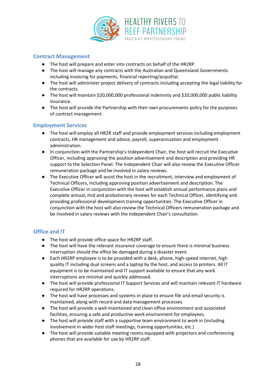

#### **Contract Management**

- The host will prepare and enter into contracts on behalf of the HR2RP.
- The host will manage any contracts with the Australian and Queensland Governments including invoicing for payments, financial reporting/acquittal.
- The host will administer project delivery of contracts including accepting the legal liability for the contracts.
- The host will maintain \$20,000,000 professional indemnity and \$20,000,000 public liability insurance.
- The host will provide the Partnership with their own procurements policy for the purposes of contract management.

#### **Employment Services**

- The host will employ all HR2R staff and provide employment services including employment contracts, HR management and advice, payroll, superannuation and employment administration.
- In conjunction with the Partnership's Independent Chair, the host will recruit the Executive Officer, including approving the position advertisement and description and providing HR support to the Selection Panel. The Independent Chair will also review the Executive Officer remuneration package and be involved in salary reviews.
- The Executive Officer will assist the host in the recruitment, interview and employment of Technical Officers, including approving position advertisement and description. The Executive Officer in conjunction with the host will establish annual performance plans and complete annual, mid and probationary reviews for each Technical Officer, identifying and providing professional development training opportunities. The Executive Officer in conjunction with the host will also review the Technical Officers remuneration package and be involved in salary reviews with the Independent Chair's consultation.

#### **Office and IT**

- The host will provide office space for HR2RP staff.
- The host will have the relevant insurance coverage to ensure there is minimal business interruption should the office be damaged during a disaster event.
- Each HR2RP employee is to be provided with a desk, phone, high-speed internet, high quality IT including dual screens and a laptop by the host, and access to printers. All IT equipment is to be maintained and IT support available to ensure that any work interruptions are minimal and quickly addressed.
- The host will provide professional IT Support Services and will maintain relevant IT hardware required for HR2RP operations.
- The host will have processes and systems in place to ensure file and email security is maintained, along with record and data management processes.
- The host will provide a well-maintained and clean office environment and associated facilities, ensuring a safe and productive work environment for employees.
- The host will provide staff with a supportive team environment to work in (including involvement in wider host staff meetings, training opportunities, etc.)
- The host will provide suitable meeting rooms equipped with projectors and conferencing phones that are available for use by HR2RP staff.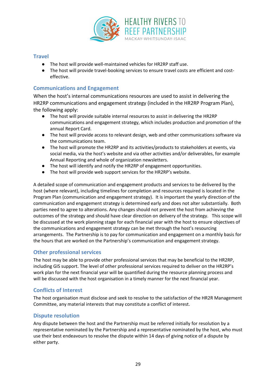

#### **Travel**

- The host will provide well-maintained vehicles for HR2RP staff use.
- The host will provide travel-booking services to ensure travel costs are efficient and costeffective.

#### **Communications and Engagement**

When the host's internal communications resources are used to assist in delivering the HR2RP communications and engagement strategy (included in the HR2RP Program Plan), the following apply:

- The host will provide suitable internal resources to assist in delivering the HR2RP communications and engagement strategy, which includes production and promotion of the annual Report Card.
- The host will provide access to relevant design, web and other communications software via the communications team.
- The host will promote the HR2RP and its activities/products to stakeholders at events, via social media, via the host's website and via other activities and/or deliverables, for example Annual Reporting and whole of organization newsletters.
- The host will identify and notify the HR2RP of engagement opportunities.
- The host will provide web support services for the HR2RP's website.

A detailed scope of communication and engagement products and services to be delivered by the host (where relevant), including timelines for completion and resources required is located in the Program Plan (communication and engagement strategy). It is important the yearly direction of the communication and engagement strategy is determined early and does not alter substantially. Both parties need to agree to alterations. Any changes should not prevent the host from achieving the outcomes of the strategy and should have clear direction on delivery of the strategy. This scope will be discussed at the work planning stage for each financial year with the host to ensure objectives of the communications and engagement strategy can be met through the host's resourcing arrangements. The Partnership is to pay for communication and engagement on a monthly basis for the hours that are worked on the Partnership's communication and engagement strategy.

#### **Other professional services**

The host may be able to provide other professional services that may be beneficial to the HR2RP, including GIS support. The level of other professional services required to deliver on the HR2RP's work plan for the next financial year will be quantified during the resource planning process and will be discussed with the host organisation in a timely manner for the next financial year.

#### **Conflicts of Interest**

The host organisation must disclose and seek to resolve to the satisfaction of the HR2R Management Committee, any material interests that may constitute a conflict of interest.

#### **Dispute resolution**

Any dispute between the host and the Partnership must be referred initially for resolution by a representative nominated by the Partnership and a representative nominated by the host, who must use their best endeavours to resolve the dispute within 14 days of giving notice of a dispute by either party.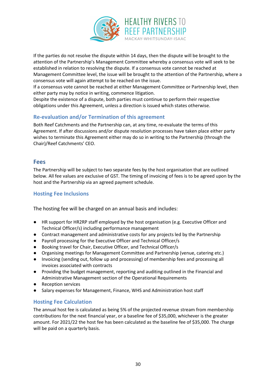

If the parties do not resolve the dispute within 14 days, then the dispute will be brought to the attention of the Partnership's Management Committee whereby a consensus vote will seek to be established in relation to resolving the dispute. If a consensus vote cannot be reached at Management Committee level, the issue will be brought to the attention of the Partnership, where a consensus vote will again attempt to be reached on the issue.

If a consensus vote cannot be reached at either Management Committee or Partnership level, then either party may by notice in writing, commence litigation.

Despite the existence of a dispute, both parties must continue to perform their respective obligations under this Agreement, unless a direction is issued which states otherwise.

#### **Re-evaluation and/or Termination of this agreement**

Both Reef Catchments and the Partnership can, at any time, re-evaluate the terms of this Agreement. If after discussions and/or dispute resolution processes have taken place either party wishes to terminate this Agreement either may do so in writing to the Partnership (through the Chair)/Reef Catchments' CEO.

#### **Fees**

The Partnership will be subject to two separate fees by the host organisation that are outlined below. All fee values are exclusive of GST. The timing of invoicing of fees is to be agreed upon by the host and the Partnership via an agreed payment schedule.

#### **Hosting Fee Inclusions**

The hosting fee will be charged on an annual basis and includes:

- HR support for HR2RP staff employed by the host organisation (e.g. Executive Officer and Technical Officer/s) including performance management
- Contract management and administrative costs for any projects led by the Partnership
- Payroll processing for the Executive Officer and Technical Officer/s
- Booking travel for Chair, Executive Officer, and Technical Officer/s
- Organising meetings for Management Committee and Partnership (venue, catering etc.)
- Invoicing (sending out, follow up and processing) of membership fees and processing all invoices associated with contracts
- Providing the budget management, reporting and auditing outlined in the Financial and Administrative Management section of the Operational Requirements
- Reception services
- Salary expenses for Management, Finance, WHS and Administration host staff

#### **Hosting Fee Calculation**

The annual host fee is calculated as being 5% of the projected revenue stream from membership contributions for the next financial year, or a baseline fee of \$35,000, whichever is the greater amount. For 2021/22 the host fee has been calculated as the baseline fee of \$35,000. The charge will be paid on a quarterly basis.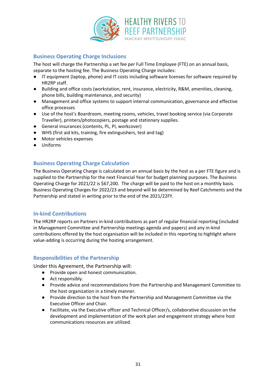

#### **Business Operating Charge Inclusions**

The host will charge the Partnership a set fee per Full Time Employee (FTE) on an annual basis, separate to the hosting fee. The Business Operating Charge includes:

- IT equipment (laptop, phone) and IT costs including software licenses for software required by HR2RP staff.
- Building and office costs (workstation, rent, insurance, electricity, R&M, amenities, cleaning, phone bills, building maintenance, and security)
- Management and office systems to support internal communication, governance and effective office processes
- Use of the host's Boardroom, meeting rooms, vehicles, travel booking service (via Corporate Traveller), printers/photocopiers, postage and stationary supplies.
- General insurances (contents, PL, PI, workcover)
- WHS (first aid kits, training, fire extinguishers, test and tag)
- Motor vehicles expenses
- Uniforms

#### **Business Operating Charge Calculation**

The Business Operating Charge is calculated on an annual basis by the host as a per FTE figure and is supplied to the Partnership for the next Financial Year for budget planning purposes. The Business Operating Charge for 2021/22 is \$67,200. The charge will be paid to the host on a monthly basis. Business Operating Charges for 2022/23 and beyond will be determined by Reef Catchments and the Partnership and stated in writing prior to the end of the 2021/22FY.

#### **In-kind Contributions**

The HR2RP reports on Partners in-kind contributions as part of regular financial reporting (included in Management Committee and Partnership meetings agenda and papers) and any in-kind contributions offered by the host organisation will be included in this reporting to highlight where value-adding is occurring during the hosting arrangement.

#### **Responsibilities of the Partnership**

Under this Agreement, the Partnership will:

- Provide open and honest communication.
- Act responsibly.
- Provide advice and recommendations from the Partnership and Management Committee to the host organization in a timely manner.
- Provide direction to the host from the Partnership and Management Committee via the Executive Officer and Chair.
- Facilitate, via the Executive officer and Technical Officer/s, collaborative discussion on the development and implementation of the work plan and engagement strategy where host communications resources are utilized.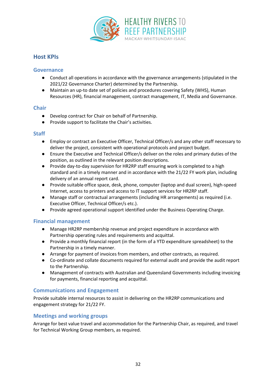

# <span id="page-43-0"></span>**Host KPIs**

#### **Governance**

- Conduct all operations in accordance with the governance arrangements (stipulated in the 2021/22 Governance Charter) determined by the Partnership.
- Maintain an up-to date set of policies and procedures covering Safety (WHS), Human Resources (HR), financial management, contract management, IT, Media and Governance.

#### **Chair**

- Develop contract for Chair on behalf of Partnership.
- Provide support to facilitate the Chair's activities.

#### **Staff**

- Employ or contract an Executive Officer, Technical Officer/s and any other staff necessary to deliver the project, consistent with operational protocols and project budget.
- Ensure the Executive and Technical Officer/s deliver on the roles and primary duties of the position, as outlined in the relevant position descriptions.
- Provide day-to-day supervision for HR2RP staff ensuring work is completed to a high standard and in a timely manner and in accordance with the 21/22 FY work plan, including delivery of an annual report card.
- Provide suitable office space, desk, phone, computer (laptop and dual screen), high-speed Internet, access to printers and access to IT support services for HR2RP staff.
- Manage staff or contractual arrangements (including HR arrangements) as required (i.e. Executive Officer, Technical Officer/s etc.).
- Provide agreed operational support identified under the Business Operating Charge.

#### **Financial management**

- Manage HR2RP membership revenue and project expenditure in accordance with Partnership operating rules and requirements and acquittal.
- Provide a monthly financial report (in the form of a YTD expenditure spreadsheet) to the Partnership in a timely manner.
- Arrange for payment of invoices from members, and other contracts, as required.
- Co-ordinate and collate documents required for external audit and provide the audit report to the Partnership.
- Management of contracts with Australian and Queensland Governments including invoicing for payments, financial reporting and acquittal.

#### **Communications and Engagement**

Provide suitable internal resources to assist in delivering on the HR2RP communications and engagement strategy for 21/22 FY.

#### **Meetings and working groups**

Arrange for best value travel and accommodation for the Partnership Chair, as required, and travel for Technical Working Group members, as required.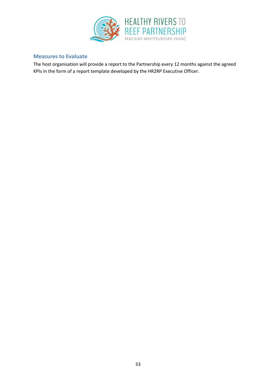

#### **Measures to Evaluate**

The host organisation will provide a report to the Partnership every 12 months against the agreed KPIs in the form of a report template developed by the HR2RP Executive Officer.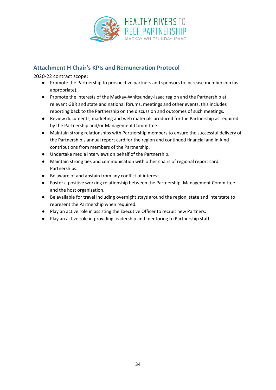

# <span id="page-45-0"></span>**Attachment H Chair's KPIs and Remuneration Protocol**

#### 2020-22 contract scope:

- Promote the Partnership to prospective partners and sponsors to increase membership (as appropriate).
- Promote the interests of the Mackay-Whitsunday-Isaac region and the Partnership at relevant GBR and state and national forums, meetings and other events, this includes reporting back to the Partnership on the discussion and outcomes of such meetings.
- Review documents, marketing and web materials produced for the Partnership as required by the Partnership and/or Management Committee.
- Maintain strong relationships with Partnership members to ensure the successful delivery of the Partnership's annual report card for the region and continued financial and in-kind contributions from members of the Partnership.
- Undertake media interviews on behalf of the Partnership.
- Maintain strong ties and communication with other chairs of regional report card Partnerships.
- Be aware of and abstain from any conflict of interest.
- Foster a positive working relationship between the Partnership, Management Committee and the host organisation.
- Be available for travel including overnight stays around the region, state and interstate to represent the Partnership when required.
- Play an active role in assisting the Executive Officer to recruit new Partners.
- Play an active role in providing leadership and mentoring to Partnership staff.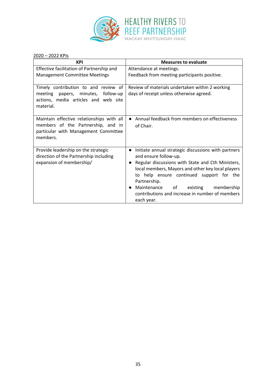

#### 2020 – 2022 KPIs

| <b>KPI</b>                                                                                                                          | <b>Measures to evaluate</b>                                                                                                                                                                                                                                                                                                                                                     |  |
|-------------------------------------------------------------------------------------------------------------------------------------|---------------------------------------------------------------------------------------------------------------------------------------------------------------------------------------------------------------------------------------------------------------------------------------------------------------------------------------------------------------------------------|--|
| Effective facilitation of Partnership and<br><b>Management Committee Meetings</b>                                                   | Attendance at meetings.<br>Feedback from meeting participants positive.                                                                                                                                                                                                                                                                                                         |  |
|                                                                                                                                     |                                                                                                                                                                                                                                                                                                                                                                                 |  |
| Timely contribution to and review of<br>follow-up<br>meeting papers, minutes,<br>actions, media articles and web site<br>material.  | Review of materials undertaken within 2 working<br>days of receipt unless otherwise agreed.                                                                                                                                                                                                                                                                                     |  |
| Maintain effective relationships with all<br>members of the Partnership, and in<br>particular with Management Committee<br>members. | Annual feedback from members on effectiveness<br>of Chair.                                                                                                                                                                                                                                                                                                                      |  |
| Provide leadership on the strategic<br>direction of the Partnership including<br>expansion of membership/                           | Initiate annual strategic discussions with partners<br>$\bullet$<br>and ensure follow-up.<br>Regular discussions with State and Cth Ministers,<br>local members, Mayors and other key local players<br>to help ensure continued support for the<br>Partnership.<br>Maintenance<br>of<br>existing<br>membership<br>contributions and increase in number of members<br>each year. |  |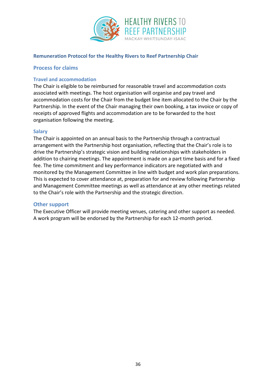

#### **Remuneration Protocol for the Healthy Rivers to Reef Partnership Chair**

#### **Process for claims**

#### **Travel and accommodation**

The Chair is eligible to be reimbursed for reasonable travel and accommodation costs associated with meetings. The host organisation will organise and pay travel and accommodation costs for the Chair from the budget line item allocated to the Chair by the Partnership. In the event of the Chair managing their own booking, a tax invoice or copy of receipts of approved flights and accommodation are to be forwarded to the host organisation following the meeting.

#### **Salary**

The Chair is appointed on an annual basis to the Partnership through a contractual arrangement with the Partnership host organisation, reflecting that the Chair's role is to drive the Partnership's strategic vision and building relationships with stakeholders in addition to chairing meetings. The appointment is made on a part time basis and for a fixed fee. The time commitment and key performance indicators are negotiated with and monitored by the Management Committee in line with budget and work plan preparations. This is expected to cover attendance at, preparation for and review following Partnership and Management Committee meetings as well as attendance at any other meetings related to the Chair's role with the Partnership and the strategic direction.

#### **Other support**

The Executive Officer will provide meeting venues, catering and other support as needed. A work program will be endorsed by the Partnership for each 12-month period.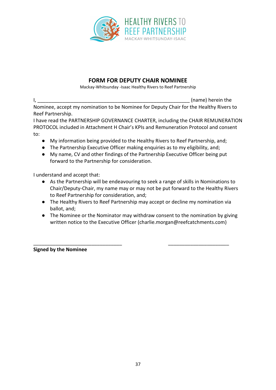

# **FORM FOR DEPUTY CHAIR NOMINEE**

Mackay-Whitsunday -Isaac Healthy Rivers to Reef Partnership

I, the contract of the contract of the contract of the contract of the contract of the contract of the contract of the contract of the contract of the contract of the contract of the contract of the contract of the contrac Nominee, accept my nomination to be Nominee for Deputy Chair for the Healthy Rivers to Reef Partnership.

I have read the PARTNERSHIP GOVERNANCE CHARTER, including the CHAIR REMUNERATION PROTOCOL included in Attachment H Chair's KPIs and Remuneration Protocol and consent to:

- My information being provided to the Healthy Rivers to Reef Partnership, and;
- The Partnership Executive Officer making enquiries as to my eligibility, and;
- My name, CV and other findings of the Partnership Executive Officer being put forward to the Partnership for consideration.

I understand and accept that:

- As the Partnership will be endeavouring to seek a range of skills in Nominations to Chair/Deputy-Chair, my name may or may not be put forward to the Healthy Rivers to Reef Partnership for consideration, and;
- The Healthy Rivers to Reef Partnership may accept or decline my nomination via ballot, and;
- The Nominee or the Nominator may withdraw consent to the nomination by giving written notice to the Executive Officer (charlie.morgan@reefcatchments.com)

**Signed by the Nominee**

\_\_\_\_\_\_\_\_\_\_\_\_\_\_\_\_\_\_\_\_\_\_\_\_\_\_\_\_\_\_\_\_ \_\_\_\_\_\_\_\_\_\_\_\_\_\_\_\_\_\_\_\_\_\_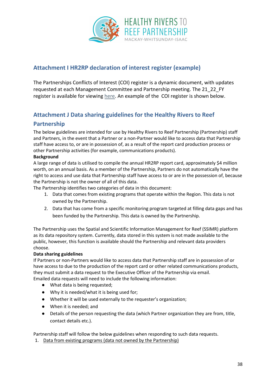

# <span id="page-49-0"></span>**Attachment I HR2RP declaration of interest register (example)**

The Partnerships Conflicts of Interest (COI) register is a dynamic document, with updates requested at each Management Committee and Partnership meeting. The 21\_22\_FY register is available for viewing [here.](https://drive.google.com/file/d/1DsmloIuGQOttmCNTibf3FwcKjYSl2Qcj/view?usp=sharing) An example of the COI register is shown below.

# <span id="page-49-1"></span>**Attachment J Data sharing guidelines for the Healthy Rivers to Reef**

# **Partnership**

The below guidelines are intended for use by Healthy Rivers to Reef Partnership (Partnership) staff and Partners, in the event that a Partner or a non-Partner would like to access data that Partnership staff have access to, or are in possession of, as a result of the report card production process or other Partnership activities (for example, communications products).

#### **Background**

A large range of data is utilised to compile the annual HR2RP report card, approximately \$4 million worth, on an annual basis. As a member of the Partnership, Partners do not automatically have the right to access and use data that Partnership staff have access to or are in the possession of, because the Partnership is not the owner of all of this data.

The Partnership identifies two categories of data in this document:

- 1. Data that comes from existing programs that operate within the Region. This data is not owned by the Partnership.
- 2. Data that has come from a specific monitoring program targeted at filling data gaps and has been funded by the Partnership. This data is owned by the Partnership.

The Partnership uses the Spatial and Scientific Information Management for Reef (SSIMR) platform as its data repository system. Currently, data stored in this system is not made available to the public, however, this function is available should the Partnership and relevant data providers choose.

#### **Data sharing guidelines**

If Partners or non-Partners would like to access data that Partnership staff are in possession of or have access to due to the production of the report card or other related communications products, they must submit a data request to the Executive Officer of the Partnership via email. Emailed data requests will need to include the following information:

- What data is being requested;
- Why it is needed/what it is being used for;
- Whether it will be used externally to the requester's organization;
- When it is needed; and
- Details of the person requesting the data (which Partner organization they are from, title, contact details etc.).

Partnership staff will follow the below guidelines when responding to such data requests.

1. Data from existing programs (data not owned by the Partnership)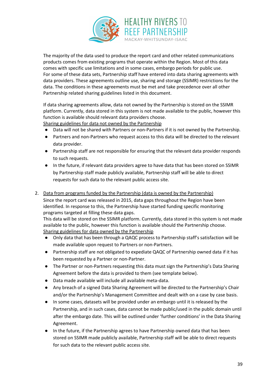

The majority of the data used to produce the report card and other related communications products comes from existing programs that operate within the Region. Most of this data comes with specific use limitations and in some cases, embargo periods for public use. For some of these data sets, Partnership staff have entered into data sharing agreements with data providers. These agreements outline use, sharing and storage (SSIMR) restrictions for the data. The conditions in these agreements must be met and take precedence over all other Partnership related sharing guidelines listed in this document.

If data sharing agreements allow, data not owned by the Partnership is stored on the SSIMR platform. Currently, data stored in this system is not made available to the public, however this function is available should relevant data providers choose.

Sharing guidelines for data not owned by the Partnership

- Data will not be shared with Partners or non-Partners if it is not owned by the Partnership.
- Partners and non-Partners who request access to this data will be directed to the relevant data provider.
- Partnership staff are not responsible for ensuring that the relevant data provider responds to such requests.
- In the future, if relevant data providers agree to have data that has been stored on SSIMR by Partnership staff made publicly available, Partnership staff will be able to direct requests for such data to the relevant public access site.
- 2. Data from programs funded by the Partnership (data is owned by the Partnership)

Since the report card was released in 2015, data gaps throughout the Region have been identified. In response to this, the Partnership have started funding specific monitoring programs targeted at filling these data gaps.

This data will be stored on the SSIMR platform. Currently, data stored in this system is not made available to the public, however this function is available should the Partnership choose. Sharing guidelines for data owned by the Partnership

- Only data that has been through a QAQC process to Partnership staff's satisfaction will be made available upon request to Partners or non-Partners.
- Partnership staff are not obligated to expediate QAQC of Partnership owned data if it has been requested by a Partner or non-Partner.
- The Partner or non-Partners requesting this data must sign the Partnership's Data Sharing Agreement before the data is provided to them (see template below).
- Data made available will include all available meta-data.
- Any breach of a signed Data Sharing Agreement will be directed to the Partnership's Chair and/or the Partnership's Management Committee and dealt with on a case by case basis.
- In some cases, datasets will be provided under an embargo until it is released by the Partnership, and in such cases, data cannot be made public/used in the public domain until after the embargo date. This will be outlined under 'further conditions' in the Data Sharing Agreement.
- In the future, if the Partnership agrees to have Partnership owned data that has been stored on SSIMR made publicly available, Partnership staff will be able to direct requests for such data to the relevant public access site.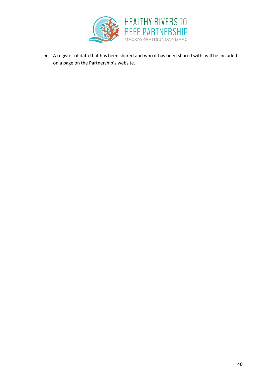

● A register of data that has been shared and who it has been shared with, will be included on a page on the Partnership's website.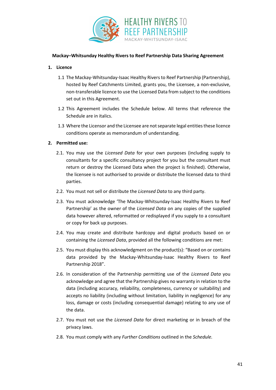

#### **Mackay–Whitsunday Healthy Rivers to Reef Partnership Data Sharing Agreement**

#### **1. Licence**

- 1.1 The Mackay-Whitsunday-Isaac Healthy Rivers to Reef Partnership (Partnership), hosted by Reef Catchments Limited, grants you, the Licensee, a non-exclusive, non-transferable licence to use the Licensed Data from subject to the conditions set out in this Agreement.
- 1.2 This Agreement includes the Schedule below. All terms that reference the Schedule are in italics.
- 1.3 Where the Licensor and the Licensee are not separate legal entities these licence conditions operate as memorandum of understanding.

#### **2. Permitted use:**

- 2.1. You may use the *Licensed Data* for your own purposes (including supply to consultants for a specific consultancy project for you but the consultant must return or destroy the Licensed Data when the project is finished). Otherwise, the licensee is not authorised to provide or distribute the licensed data to third parties.
- 2.2. You must not sell or distribute the *Licensed Data* to any third party.
- 2.3. You must acknowledge 'The Mackay-Whitsunday-Isaac Healthy Rivers to Reef Partnership' as the owner of the *Licensed Data* on any copies of the supplied data however altered, reformatted or redisplayed if you supply to a consultant or copy for back up purposes.
- 2.4. You may create and distribute hardcopy and digital products based on or containing the *Licensed Data*, provided all the following conditions are met:
- 2.5. You must display this acknowledgment on the product(s): "Based on or contains data provided by the Mackay-Whitsunday-Isaac Healthy Rivers to Reef Partnership 2018".
- 2.6. In consideration of the Partnership permitting use of the *Licensed Data* you acknowledge and agree that the Partnership gives no warranty in relation to the data (including accuracy, reliability, completeness, currency or suitability) and accepts no liability (including without limitation, liability in negligence) for any loss, damage or costs (including consequential damage) relating to any use of the data.
- 2.7. You must not use the *Licensed Data* for direct marketing or in breach of the privacy laws.
- 2.8. You must comply with any *Further Conditions* outlined in the *Schedule.*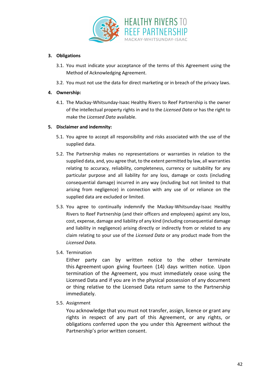

#### **3. Obligations**

- 3.1. You must indicate your acceptance of the terms of this Agreement using the Method of Acknowledging Agreement.
- 3.2. You must not use the data for direct marketing or in breach of the privacy laws.

#### **4. Ownership:**

4.1. The Mackay-Whitsunday-Isaac Healthy Rivers to Reef Partnership is the owner of the intellectual property rights in and to the *Licensed Data* or has the right to make the *Licensed Data* available.

#### **5. Disclaimer and indemnity:**

- 5.1. You agree to accept all responsibility and risks associated with the use of the supplied data.
- 5.2. The Partnership makes no representations or warranties in relation to the supplied data, and, you agree that, to the extent permitted by law, all warranties relating to accuracy, reliability, completeness, currency or suitability for any particular purpose and all liability for any loss, damage or costs (including consequential damage) incurred in any way (including but not limited to that arising from negligence) in connection with any use of or reliance on the supplied data are excluded or limited.
- 5.3. You agree to continually indemnify the Mackay-Whitsunday-Isaac Healthy Rivers to Reef Partnership (and their officers and employees) against any loss, cost, expense, damage and liability of any kind (including consequential damage and liability in negligence) arising directly or indirectly from or related to any claim relating to your use of the *Licensed Data* or any product made from the *Licensed Data*.
- 5.4. Termination

Either party can by written notice to the other terminate this Agreement upon giving fourteen (14) days written notice. Upon termination of the Agreement, you must immediately cease using the Licensed Data and if you are in the physical possession of any document or thing relative to the Licensed Data return same to the Partnership immediately.

5.5. Assignment

You acknowledge that you must not transfer, assign, licence or grant any rights in respect of any part of this Agreement, or any rights, or obligations conferred upon the you under this Agreement without the Partnership's prior written consent.